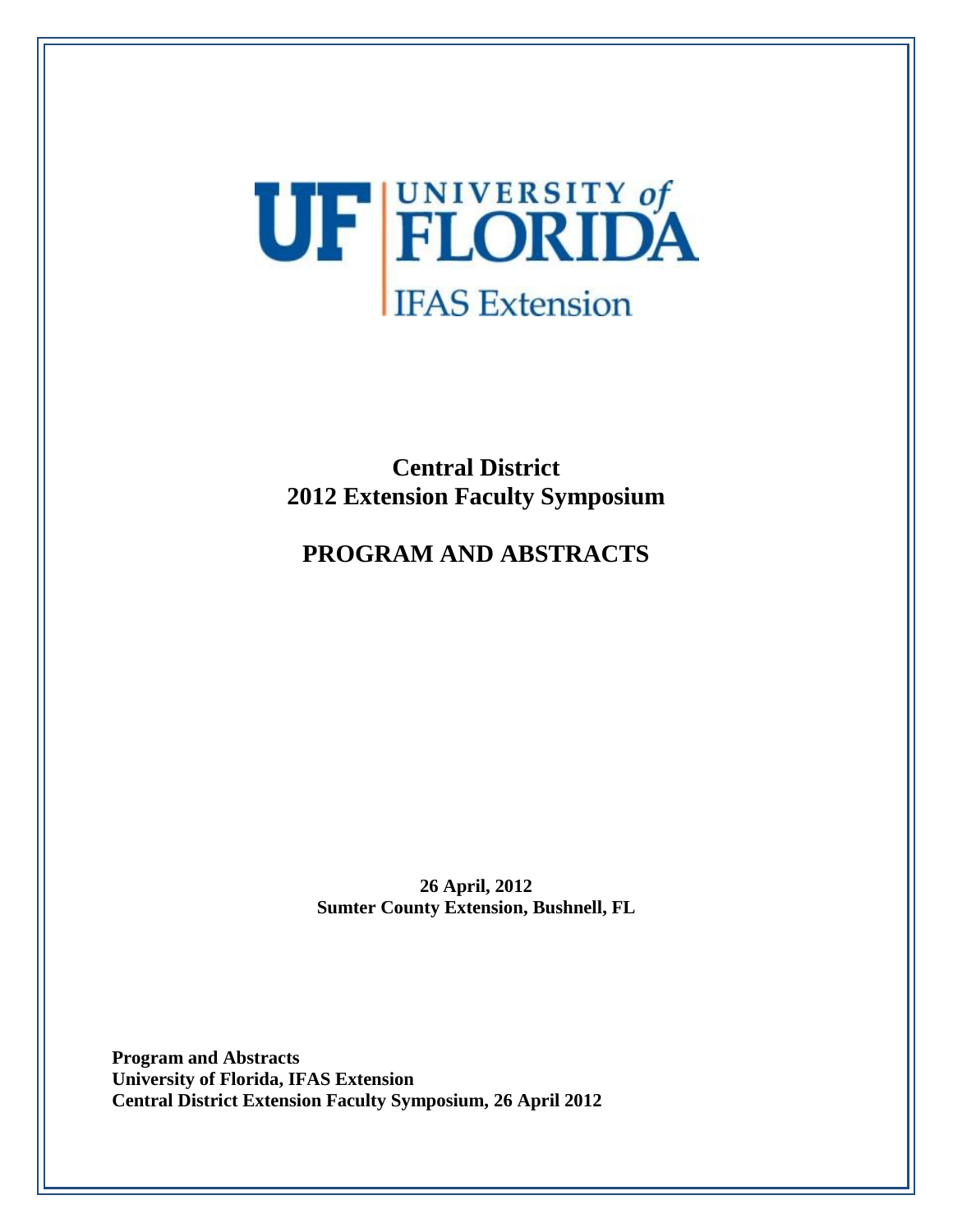

# **Central District 2012 Extension Faculty Symposium**

# **PROGRAM AND ABSTRACTS**

**26 April, 2012 Sumter County Extension, Bushnell, FL**

**Program and Abstracts University of Florida, IFAS Extension Central District Extension Faculty Symposium, 26 April 2012**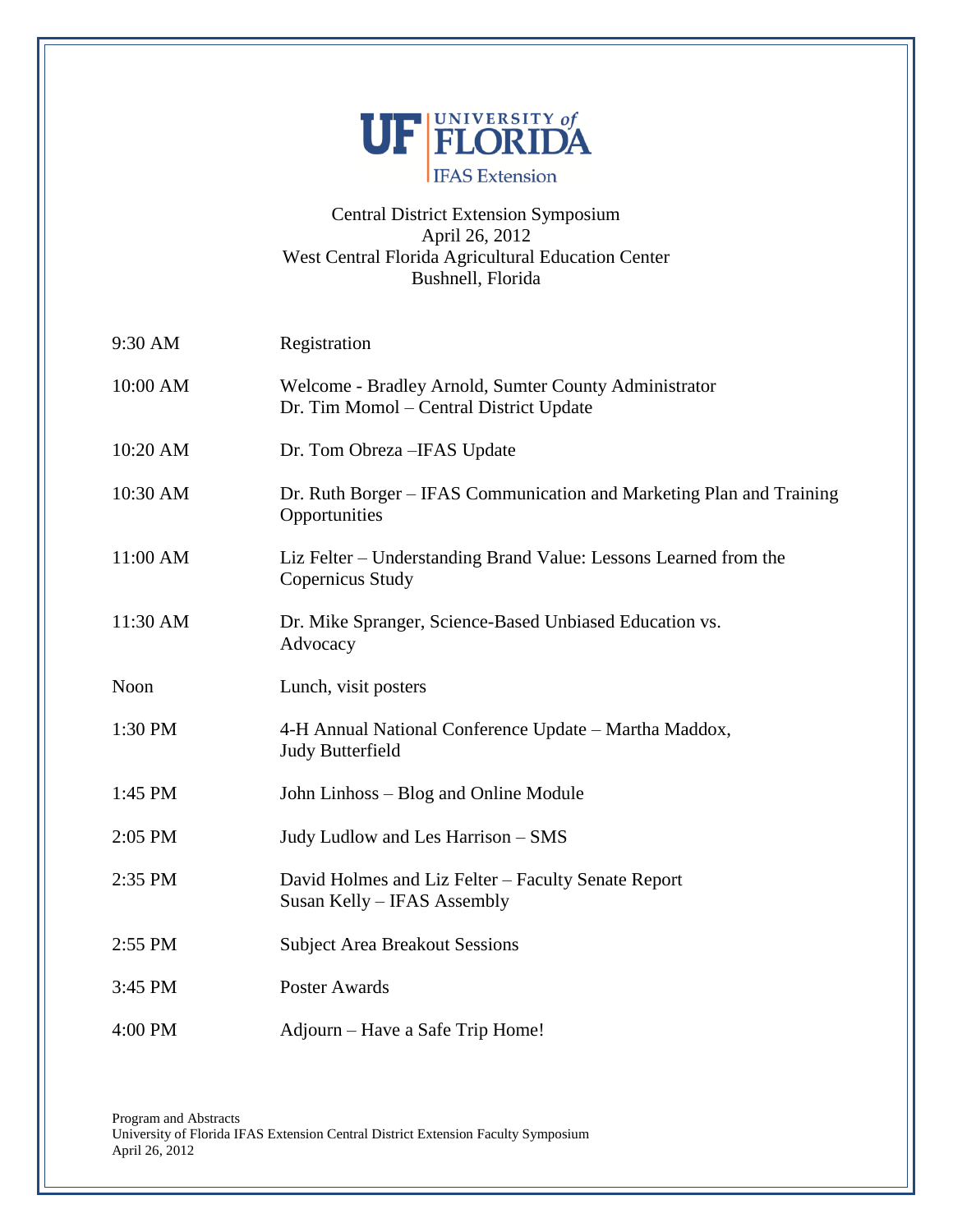

# Central District Extension Symposium April 26, 2012 West Central Florida Agricultural Education Center Bushnell, Florida

| 9:30 AM  | Registration                                                                                     |
|----------|--------------------------------------------------------------------------------------------------|
| 10:00 AM | Welcome - Bradley Arnold, Sumter County Administrator<br>Dr. Tim Momol – Central District Update |
| 10:20 AM | Dr. Tom Obreza – IFAS Update                                                                     |
| 10:30 AM | Dr. Ruth Borger – IFAS Communication and Marketing Plan and Training<br>Opportunities            |
| 11:00 AM | Liz Felter – Understanding Brand Value: Lessons Learned from the<br>Copernicus Study             |
| 11:30 AM | Dr. Mike Spranger, Science-Based Unbiased Education vs.<br>Advocacy                              |
| Noon     | Lunch, visit posters                                                                             |
| 1:30 PM  | 4-H Annual National Conference Update – Martha Maddox,<br><b>Judy Butterfield</b>                |
| 1:45 PM  | John Linhoss - Blog and Online Module                                                            |
| 2:05 PM  | Judy Ludlow and Les Harrison - SMS                                                               |
| 2:35 PM  | David Holmes and Liz Felter - Faculty Senate Report<br>Susan Kelly - IFAS Assembly               |
| 2:55 PM  | <b>Subject Area Breakout Sessions</b>                                                            |
| 3:45 PM  | Poster Awards                                                                                    |
| 4:00 PM  | Adjourn – Have a Safe Trip Home!                                                                 |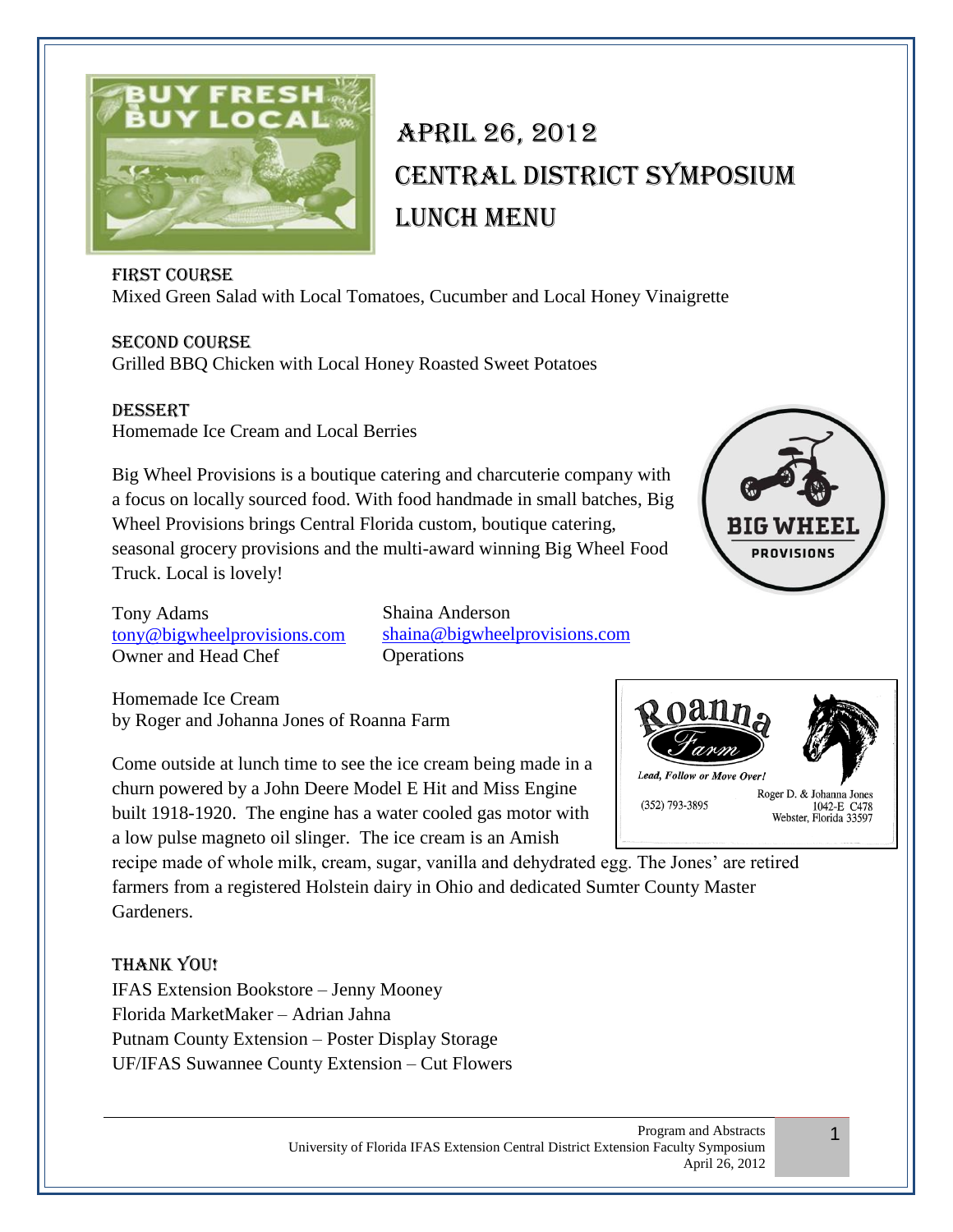

# April 26, 2012 Central District Symposium LUNCH MENU

# First Course

Mixed Green Salad with Local Tomatoes, Cucumber and Local Honey Vinaigrette

Second Course Grilled BBQ Chicken with Local Honey Roasted Sweet Potatoes

**DESSERT** Homemade Ice Cream and Local Berries

Big Wheel Provisions is a boutique catering and charcuterie company with a focus on locally sourced food. With food handmade in small batches, Big Wheel Provisions brings Central Florida custom, boutique catering, seasonal grocery provisions and the multi-award winning Big Wheel Food Truck. Local is lovely!



Tony Adams [tony@bigwheelprovisions.com](mailto:tony@bigwheelprovisions.com) Owner and Head Chef

Shaina Anderson [shaina@bigwheelprovisions.com](mailto:shaina@bigwheelprovisions.com) **Operations** 

Homemade Ice Cream by Roger and Johanna Jones of Roanna Farm

Come outside at lunch time to see the ice cream being made in a churn powered by a John Deere Model E Hit and Miss Engine built 1918-1920. The engine has a water cooled gas motor with a low pulse magneto oil slinger. The ice cream is an Amish

recipe made of whole milk, cream, sugar, vanilla and dehydrated egg. The Jones' are retired farmers from a registered Holstein dairy in Ohio and dedicated Sumter County Master Gardeners.

# Thank You!

IFAS Extension Bookstore – Jenny Mooney Florida MarketMaker – Adrian Jahna Putnam County Extension – Poster Display Storage UF/IFAS Suwannee County Extension – Cut Flowers



1

**Lead. Follow or Move Over.** Roger D. & Johanna Jones (352) 793-3895 1042-E C478 Webster, Florida 33597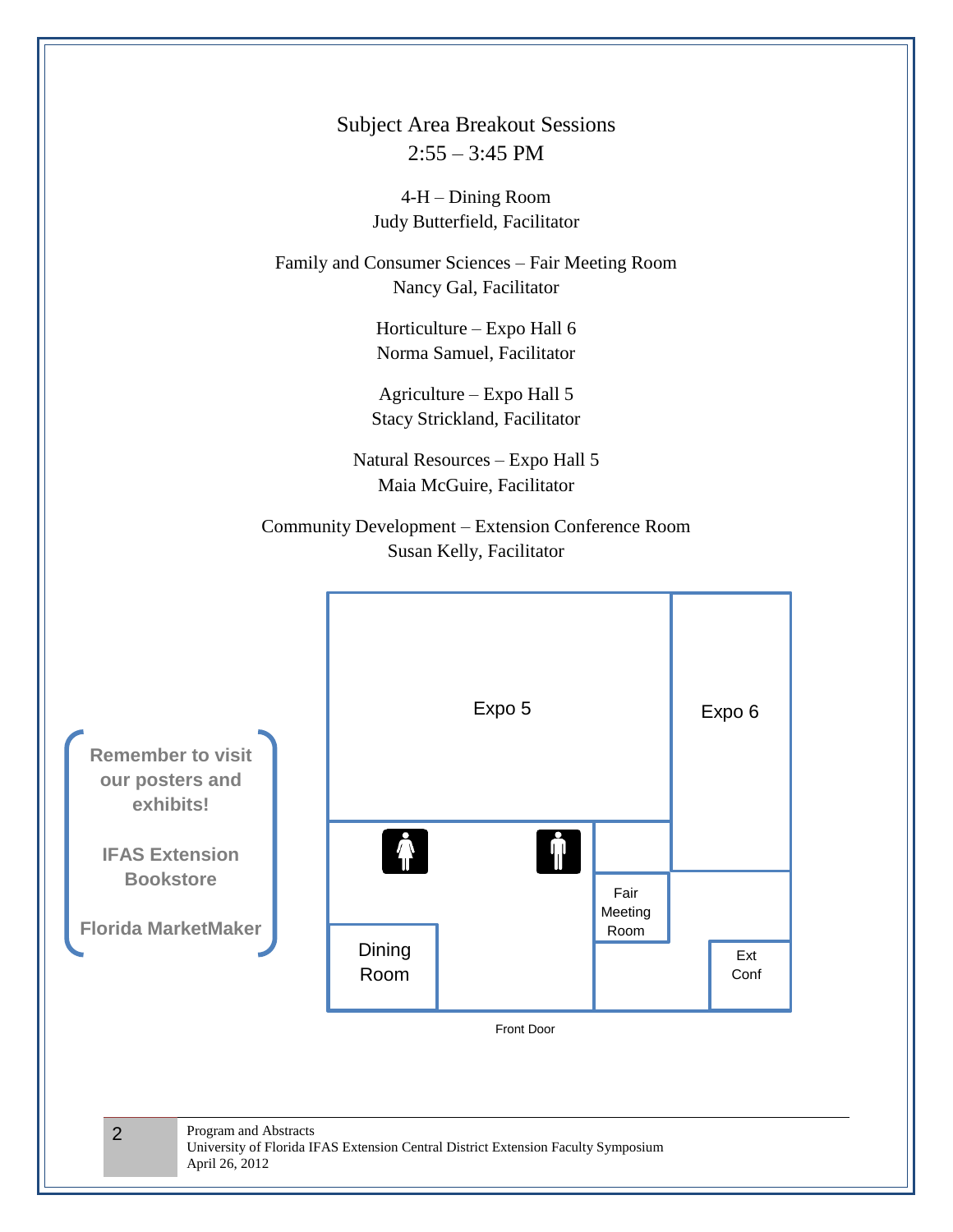Subject Area Breakout Sessions  $2:55 - 3:45$  PM

> 4-H – Dining Room Judy Butterfield, Facilitator

Family and Consumer Sciences – Fair Meeting Room Nancy Gal, Facilitator

> Horticulture – Expo Hall 6 Norma Samuel, Facilitator

Agriculture – Expo Hall 5 Stacy Strickland, Facilitator

Natural Resources – Expo Hall 5 Maia McGuire, Facilitator

Community Development – Extension Conference Room Susan Kelly, Facilitator

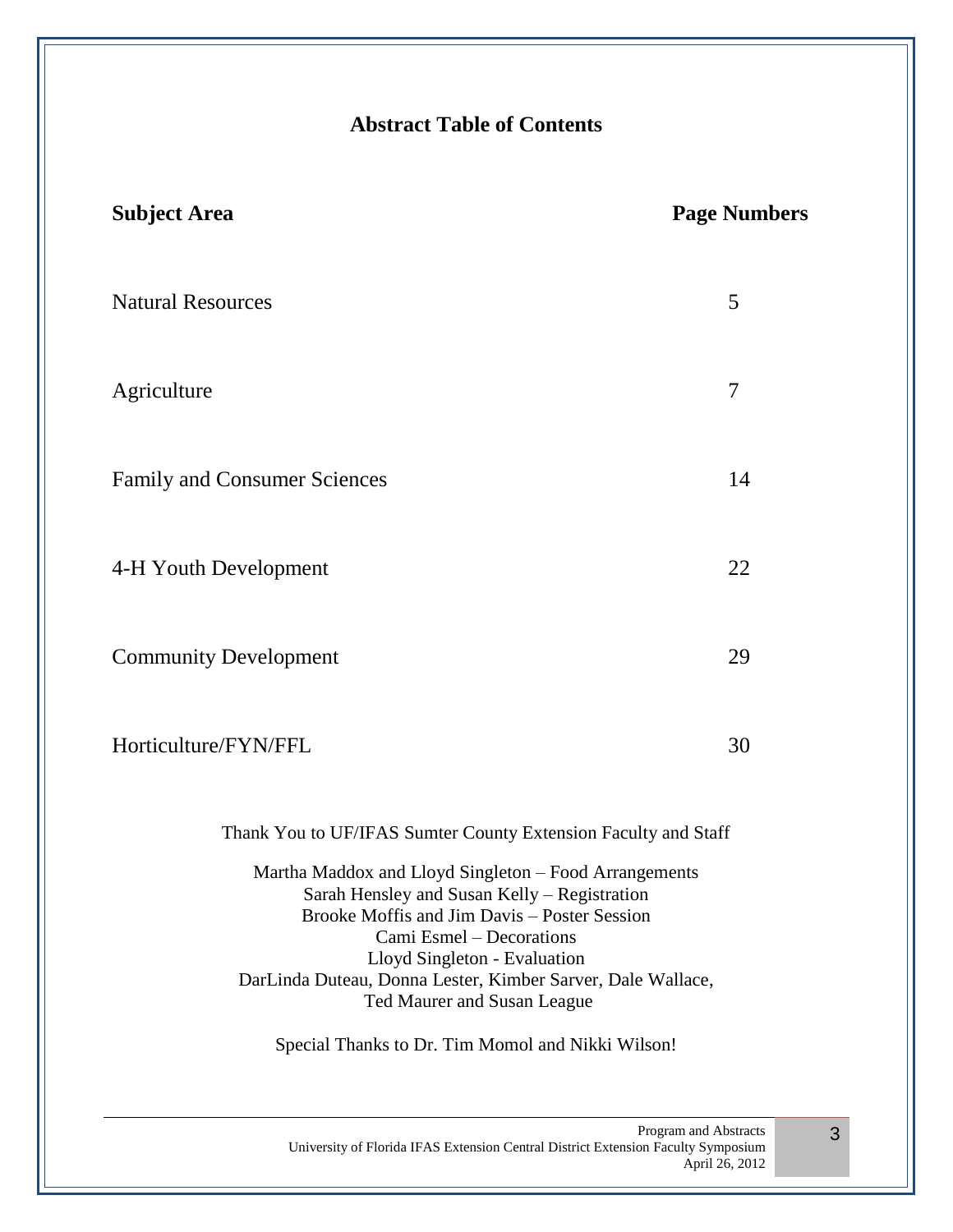# **Abstract Table of Contents**

| <b>Subject Area</b>                                                                                                                                                                                                                                                                                             | <b>Page Numbers</b> |
|-----------------------------------------------------------------------------------------------------------------------------------------------------------------------------------------------------------------------------------------------------------------------------------------------------------------|---------------------|
| <b>Natural Resources</b>                                                                                                                                                                                                                                                                                        |                     |
| Agriculture                                                                                                                                                                                                                                                                                                     | $\overline{7}$      |
| <b>Family and Consumer Sciences</b>                                                                                                                                                                                                                                                                             |                     |
| 4-H Youth Development                                                                                                                                                                                                                                                                                           |                     |
| <b>Community Development</b>                                                                                                                                                                                                                                                                                    | 29                  |
| Horticulture/FYN/FFL                                                                                                                                                                                                                                                                                            |                     |
| Thank You to UF/IFAS Sumter County Extension Faculty and Staff                                                                                                                                                                                                                                                  |                     |
| Martha Maddox and Lloyd Singleton - Food Arrangements<br>Sarah Hensley and Susan Kelly - Registration<br>Brooke Moffis and Jim Davis – Poster Session<br>Cami Esmel - Decorations<br>Lloyd Singleton - Evaluation<br>DarLinda Duteau, Donna Lester, Kimber Sarver, Dale Wallace,<br>Ted Maurer and Susan League |                     |
| Special Thanks to Dr. Tim Momol and Nikki Wilson!                                                                                                                                                                                                                                                               |                     |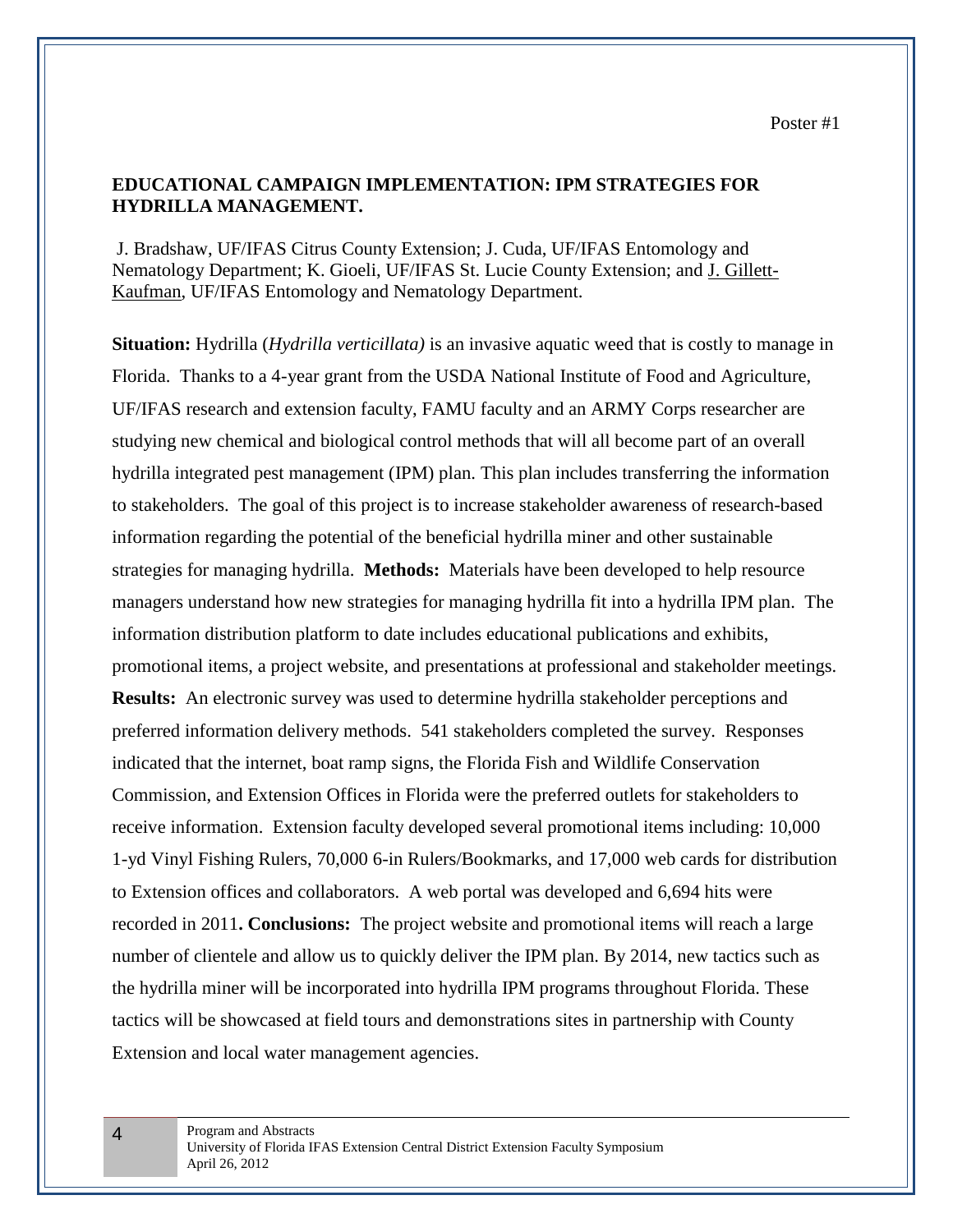## **EDUCATIONAL CAMPAIGN IMPLEMENTATION: IPM STRATEGIES FOR HYDRILLA MANAGEMENT.**

J. Bradshaw, UF/IFAS Citrus County Extension; J. Cuda, UF/IFAS Entomology and Nematology Department; K. Gioeli, UF/IFAS St. Lucie County Extension; and J. Gillett-Kaufman, UF/IFAS Entomology and Nematology Department.

**Situation:** Hydrilla (*Hydrilla verticillata)* is an invasive aquatic weed that is costly to manage in Florida. Thanks to a 4-year grant from the USDA National Institute of Food and Agriculture, UF/IFAS research and extension faculty, FAMU faculty and an ARMY Corps researcher are studying new chemical and biological control methods that will all become part of an overall hydrilla integrated pest management (IPM) plan. This plan includes transferring the information to stakeholders. The goal of this project is to increase stakeholder awareness of research-based information regarding the potential of the beneficial hydrilla miner and other sustainable strategies for managing hydrilla. **Methods:** Materials have been developed to help resource managers understand how new strategies for managing hydrilla fit into a hydrilla IPM plan. The information distribution platform to date includes educational publications and exhibits, promotional items, a project website, and presentations at professional and stakeholder meetings. **Results:** An electronic survey was used to determine hydrilla stakeholder perceptions and preferred information delivery methods. 541 stakeholders completed the survey. Responses indicated that the internet, boat ramp signs, the Florida Fish and Wildlife Conservation Commission, and Extension Offices in Florida were the preferred outlets for stakeholders to receive information. Extension faculty developed several promotional items including: 10,000 1-yd Vinyl Fishing Rulers, 70,000 6-in Rulers/Bookmarks, and 17,000 web cards for distribution to Extension offices and collaborators. A web portal was developed and 6,694 hits were recorded in 2011**. Conclusions:** The project website and promotional items will reach a large number of clientele and allow us to quickly deliver the IPM plan. By 2014, new tactics such as the hydrilla miner will be incorporated into hydrilla IPM programs throughout Florida. These tactics will be showcased at field tours and demonstrations sites in partnership with County Extension and local water management agencies.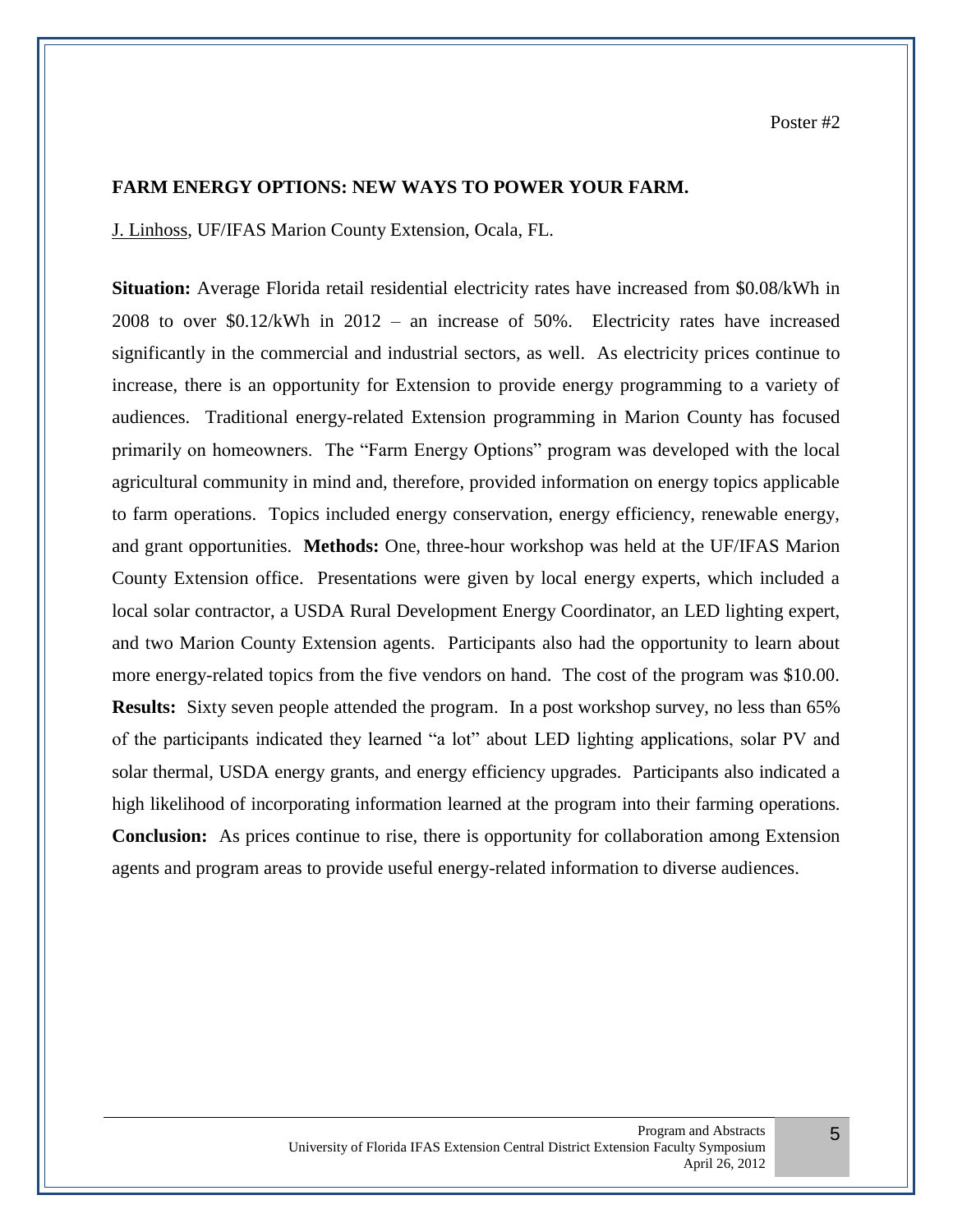#### **FARM ENERGY OPTIONS: NEW WAYS TO POWER YOUR FARM.**

J. Linhoss, UF/IFAS Marion County Extension, Ocala, FL.

**Situation:** Average Florida retail residential electricity rates have increased from \$0.08/kWh in 2008 to over \$0.12/kWh in 2012 – an increase of 50%. Electricity rates have increased significantly in the commercial and industrial sectors, as well. As electricity prices continue to increase, there is an opportunity for Extension to provide energy programming to a variety of audiences. Traditional energy-related Extension programming in Marion County has focused primarily on homeowners. The "Farm Energy Options" program was developed with the local agricultural community in mind and, therefore, provided information on energy topics applicable to farm operations. Topics included energy conservation, energy efficiency, renewable energy, and grant opportunities. **Methods:** One, three-hour workshop was held at the UF/IFAS Marion County Extension office. Presentations were given by local energy experts, which included a local solar contractor, a USDA Rural Development Energy Coordinator, an LED lighting expert, and two Marion County Extension agents. Participants also had the opportunity to learn about more energy-related topics from the five vendors on hand. The cost of the program was \$10.00. **Results:** Sixty seven people attended the program. In a post workshop survey, no less than 65% of the participants indicated they learned "a lot" about LED lighting applications, solar PV and solar thermal, USDA energy grants, and energy efficiency upgrades. Participants also indicated a high likelihood of incorporating information learned at the program into their farming operations. **Conclusion:** As prices continue to rise, there is opportunity for collaboration among Extension agents and program areas to provide useful energy-related information to diverse audiences.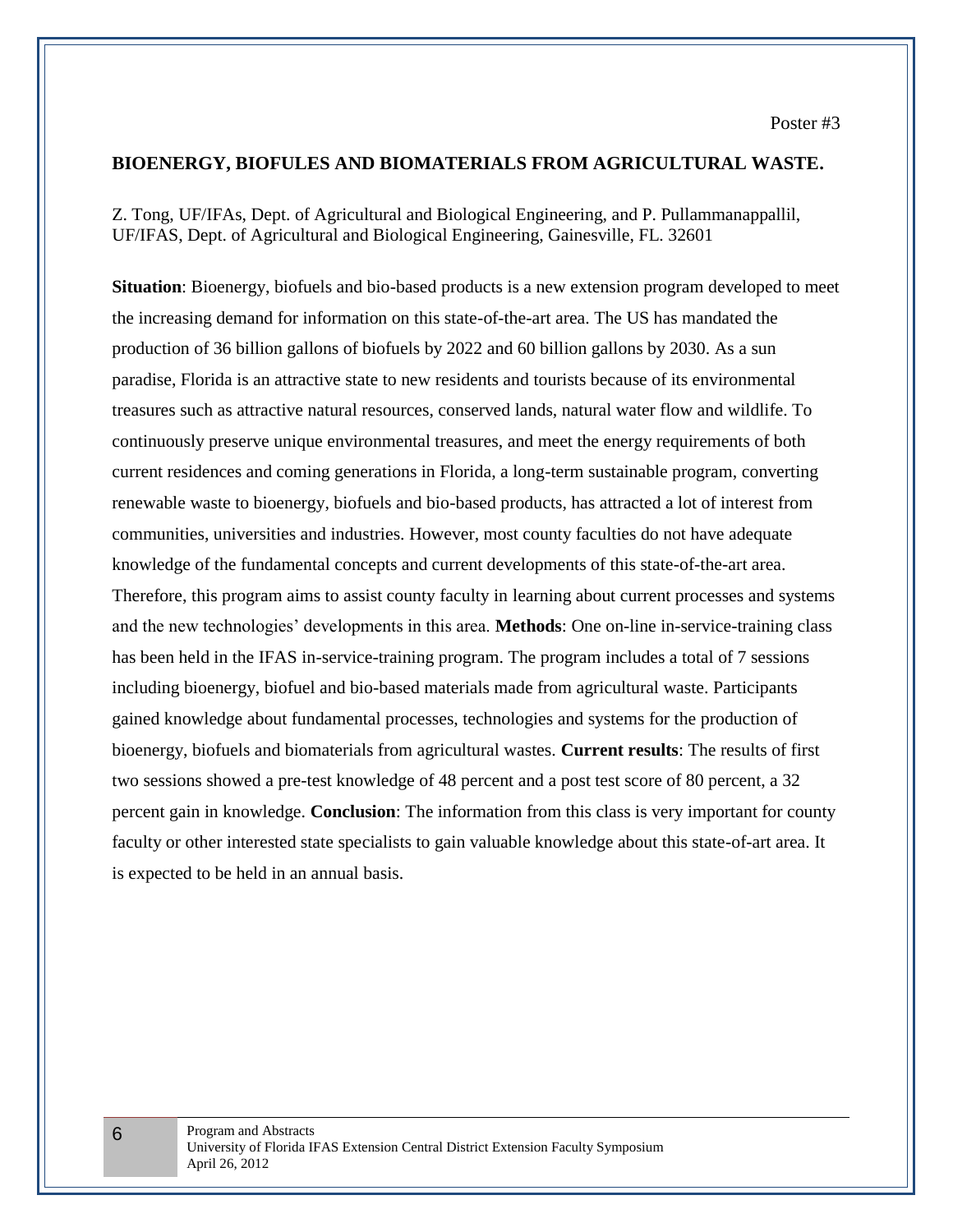#### **BIOENERGY, BIOFULES AND BIOMATERIALS FROM AGRICULTURAL WASTE.**

Z. Tong, UF/IFAs, Dept. of Agricultural and Biological Engineering, and P. Pullammanappallil, UF/IFAS, Dept. of Agricultural and Biological Engineering, Gainesville, FL. 32601

**Situation**: Bioenergy, biofuels and bio-based products is a new extension program developed to meet the increasing demand for information on this state-of-the-art area. The US has mandated the production of 36 billion gallons of biofuels by 2022 and 60 billion gallons by 2030. As a sun paradise, Florida is an attractive state to new residents and tourists because of its environmental treasures such as attractive natural resources, conserved lands, natural water flow and wildlife. To continuously preserve unique environmental treasures, and meet the energy requirements of both current residences and coming generations in Florida, a long-term sustainable program, converting renewable waste to bioenergy, biofuels and bio-based products, has attracted a lot of interest from communities, universities and industries. However, most county faculties do not have adequate knowledge of the fundamental concepts and current developments of this state-of-the-art area. Therefore, this program aims to assist county faculty in learning about current processes and systems and the new technologies' developments in this area. **Methods**: One on-line in-service-training class has been held in the IFAS in-service-training program. The program includes a total of 7 sessions including bioenergy, biofuel and bio-based materials made from agricultural waste. Participants gained knowledge about fundamental processes, technologies and systems for the production of bioenergy, biofuels and biomaterials from agricultural wastes. **Current results**: The results of first two sessions showed a pre-test knowledge of 48 percent and a post test score of 80 percent, a 32 percent gain in knowledge. **Conclusion**: The information from this class is very important for county faculty or other interested state specialists to gain valuable knowledge about this state-of-art area. It is expected to be held in an annual basis.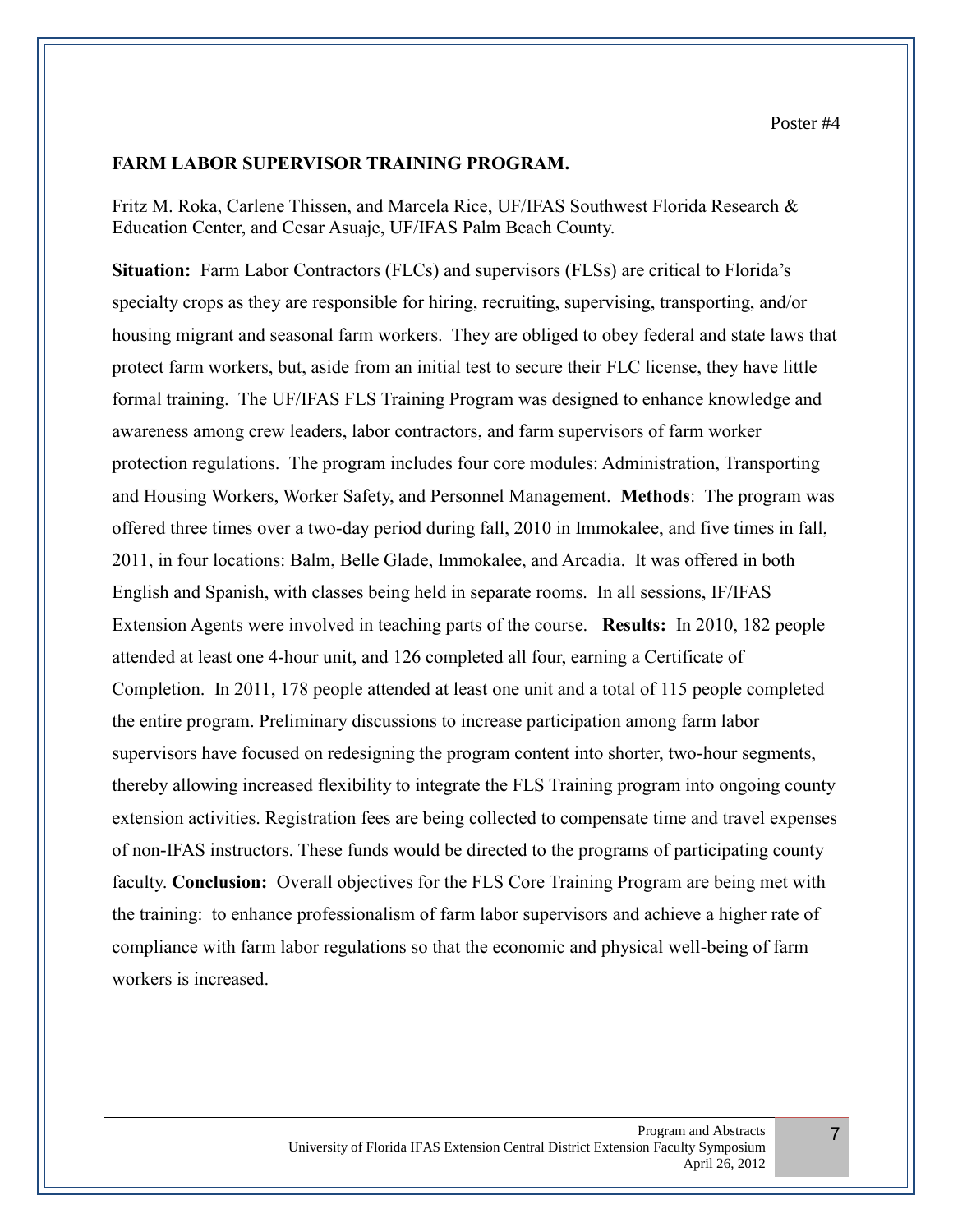### **FARM LABOR SUPERVISOR TRAINING PROGRAM.**

Fritz M. Roka, Carlene Thissen, and Marcela Rice, UF/IFAS Southwest Florida Research & Education Center, and Cesar Asuaje, UF/IFAS Palm Beach County.

**Situation:** Farm Labor Contractors (FLCs) and supervisors (FLSs) are critical to Florida's specialty crops as they are responsible for hiring, recruiting, supervising, transporting, and/or housing migrant and seasonal farm workers. They are obliged to obey federal and state laws that protect farm workers, but, aside from an initial test to secure their FLC license, they have little formal training. The UF/IFAS FLS Training Program was designed to enhance knowledge and awareness among crew leaders, labor contractors, and farm supervisors of farm worker protection regulations. The program includes four core modules: Administration, Transporting and Housing Workers, Worker Safety, and Personnel Management. **Methods**: The program was offered three times over a two-day period during fall, 2010 in Immokalee, and five times in fall, 2011, in four locations: Balm, Belle Glade, Immokalee, and Arcadia. It was offered in both English and Spanish, with classes being held in separate rooms. In all sessions, IF/IFAS Extension Agents were involved in teaching parts of the course. **Results:** In 2010, 182 people attended at least one 4-hour unit, and 126 completed all four, earning a Certificate of Completion. In 2011, 178 people attended at least one unit and a total of 115 people completed the entire program. Preliminary discussions to increase participation among farm labor supervisors have focused on redesigning the program content into shorter, two-hour segments, thereby allowing increased flexibility to integrate the FLS Training program into ongoing county extension activities. Registration fees are being collected to compensate time and travel expenses of non-IFAS instructors. These funds would be directed to the programs of participating county faculty. **Conclusion:** Overall objectives for the FLS Core Training Program are being met with the training: to enhance professionalism of farm labor supervisors and achieve a higher rate of compliance with farm labor regulations so that the economic and physical well-being of farm workers is increased.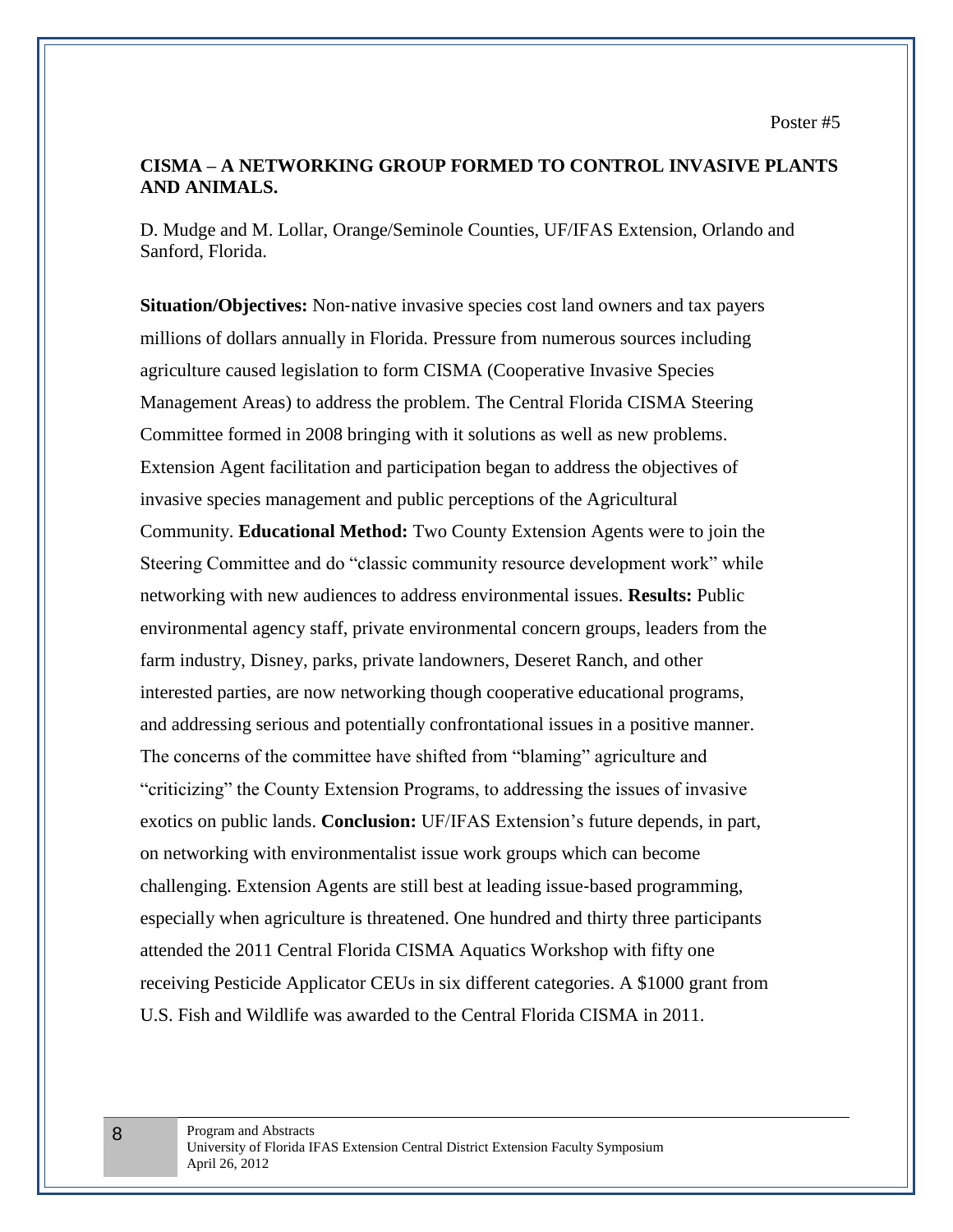## **CISMA – A NETWORKING GROUP FORMED TO CONTROL INVASIVE PLANTS AND ANIMALS.**

D. Mudge and M. Lollar, Orange/Seminole Counties, UF/IFAS Extension, Orlando and Sanford, Florida.

**Situation/Objectives:** Non-native invasive species cost land owners and tax payers millions of dollars annually in Florida. Pressure from numerous sources including agriculture caused legislation to form CISMA (Cooperative Invasive Species Management Areas) to address the problem. The Central Florida CISMA Steering Committee formed in 2008 bringing with it solutions as well as new problems. Extension Agent facilitation and participation began to address the objectives of invasive species management and public perceptions of the Agricultural Community. **Educational Method:** Two County Extension Agents were to join the Steering Committee and do "classic community resource development work" while networking with new audiences to address environmental issues. **Results:** Public environmental agency staff, private environmental concern groups, leaders from the farm industry, Disney, parks, private landowners, Deseret Ranch, and other interested parties, are now networking though cooperative educational programs, and addressing serious and potentially confrontational issues in a positive manner. The concerns of the committee have shifted from "blaming" agriculture and "criticizing" the County Extension Programs, to addressing the issues of invasive exotics on public lands. **Conclusion:** UF/IFAS Extension's future depends, in part, on networking with environmentalist issue work groups which can become challenging. Extension Agents are still best at leading issue‐based programming, especially when agriculture is threatened. One hundred and thirty three participants attended the 2011 Central Florida CISMA Aquatics Workshop with fifty one receiving Pesticide Applicator CEUs in six different categories. A \$1000 grant from U.S. Fish and Wildlife was awarded to the Central Florida CISMA in 2011.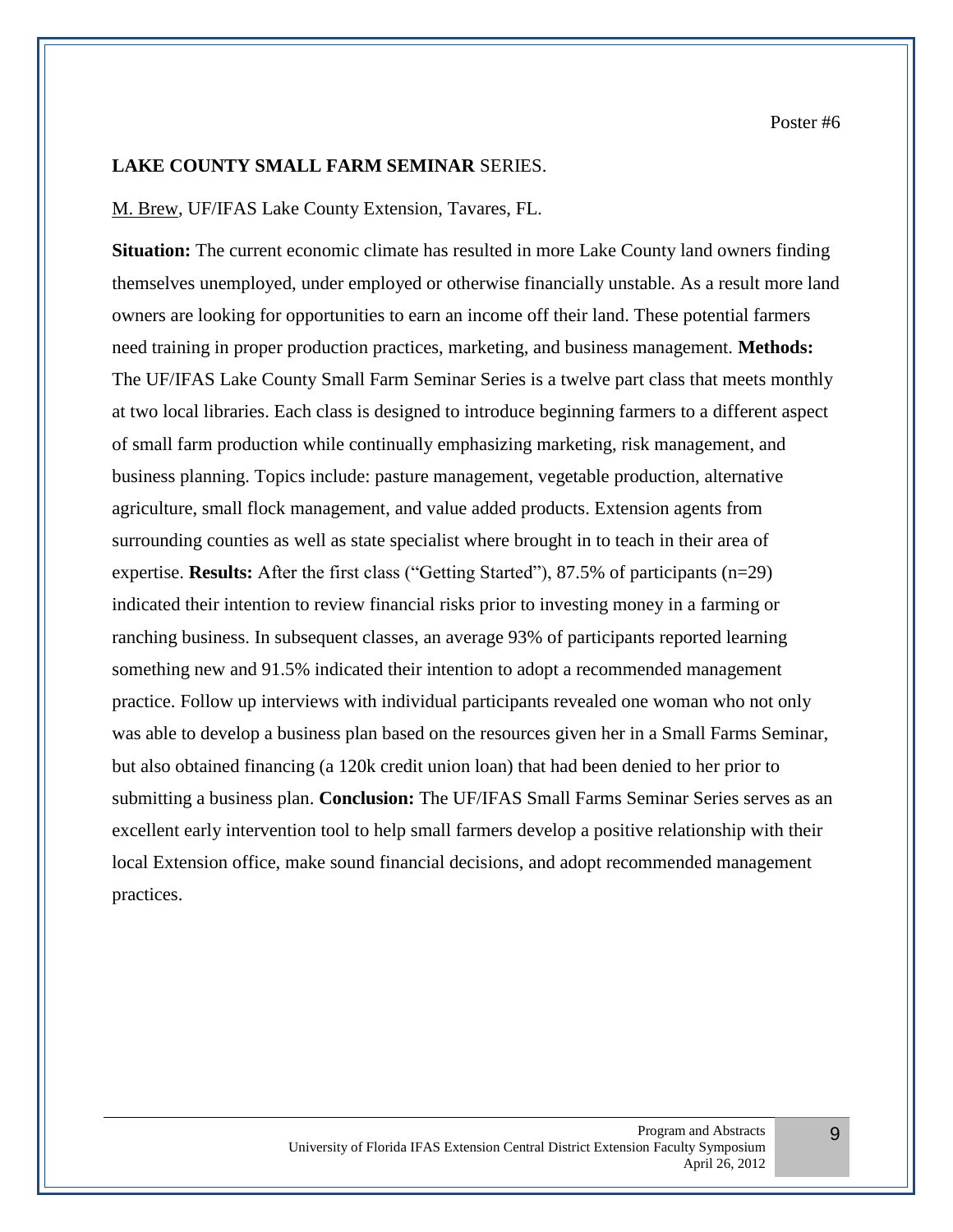9

#### **LAKE COUNTY SMALL FARM SEMINAR** SERIES.

#### M. Brew, UF/IFAS Lake County Extension, Tavares, FL.

**Situation:** The current economic climate has resulted in more Lake County land owners finding themselves unemployed, under employed or otherwise financially unstable. As a result more land owners are looking for opportunities to earn an income off their land. These potential farmers need training in proper production practices, marketing, and business management. **Methods:** The UF/IFAS Lake County Small Farm Seminar Series is a twelve part class that meets monthly at two local libraries. Each class is designed to introduce beginning farmers to a different aspect of small farm production while continually emphasizing marketing, risk management, and business planning. Topics include: pasture management, vegetable production, alternative agriculture, small flock management, and value added products. Extension agents from surrounding counties as well as state specialist where brought in to teach in their area of expertise. **Results:** After the first class ("Getting Started"), 87.5% of participants (n=29) indicated their intention to review financial risks prior to investing money in a farming or ranching business. In subsequent classes, an average 93% of participants reported learning something new and 91.5% indicated their intention to adopt a recommended management practice. Follow up interviews with individual participants revealed one woman who not only was able to develop a business plan based on the resources given her in a Small Farms Seminar, but also obtained financing (a 120k credit union loan) that had been denied to her prior to submitting a business plan. **Conclusion:** The UF/IFAS Small Farms Seminar Series serves as an excellent early intervention tool to help small farmers develop a positive relationship with their local Extension office, make sound financial decisions, and adopt recommended management practices.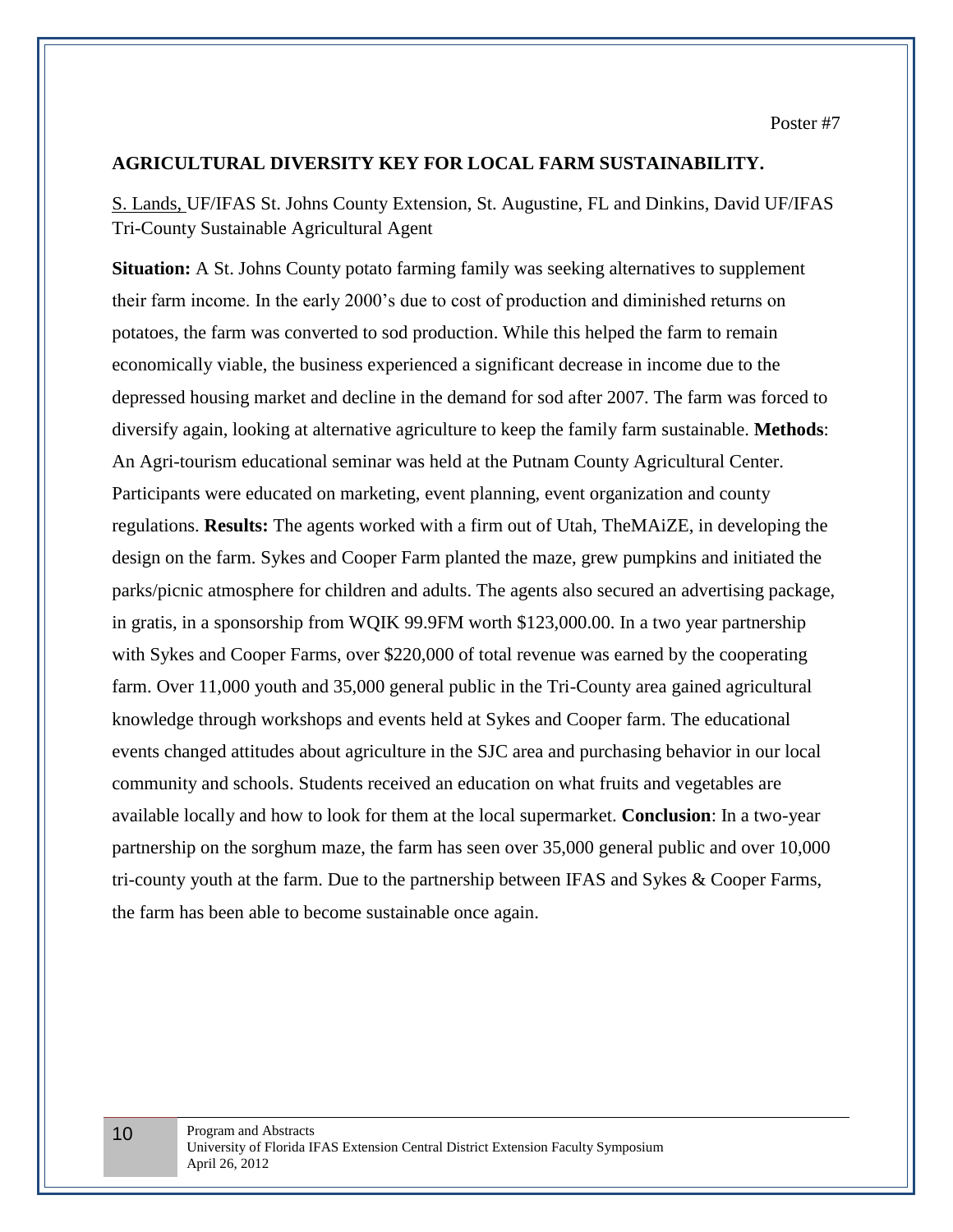Poster #7

## **AGRICULTURAL DIVERSITY KEY FOR LOCAL FARM SUSTAINABILITY.**

S. Lands, UF/IFAS St. Johns County Extension, St. Augustine, FL and Dinkins, David UF/IFAS Tri-County Sustainable Agricultural Agent

**Situation:** A St. Johns County potato farming family was seeking alternatives to supplement their farm income. In the early 2000's due to cost of production and diminished returns on potatoes, the farm was converted to sod production. While this helped the farm to remain economically viable, the business experienced a significant decrease in income due to the depressed housing market and decline in the demand for sod after 2007. The farm was forced to diversify again, looking at alternative agriculture to keep the family farm sustainable. **Methods**: An Agri-tourism educational seminar was held at the Putnam County Agricultural Center. Participants were educated on marketing, event planning, event organization and county regulations. **Results:** The agents worked with a firm out of Utah, TheMAiZE, in developing the design on the farm. Sykes and Cooper Farm planted the maze, grew pumpkins and initiated the parks/picnic atmosphere for children and adults. The agents also secured an advertising package, in gratis, in a sponsorship from WQIK 99.9FM worth \$123,000.00. In a two year partnership with Sykes and Cooper Farms, over \$220,000 of total revenue was earned by the cooperating farm. Over 11,000 youth and 35,000 general public in the Tri-County area gained agricultural knowledge through workshops and events held at Sykes and Cooper farm. The educational events changed attitudes about agriculture in the SJC area and purchasing behavior in our local community and schools. Students received an education on what fruits and vegetables are available locally and how to look for them at the local supermarket. **Conclusion**: In a two-year partnership on the sorghum maze, the farm has seen over 35,000 general public and over 10,000 tri-county youth at the farm. Due to the partnership between IFAS and Sykes & Cooper Farms, the farm has been able to become sustainable once again.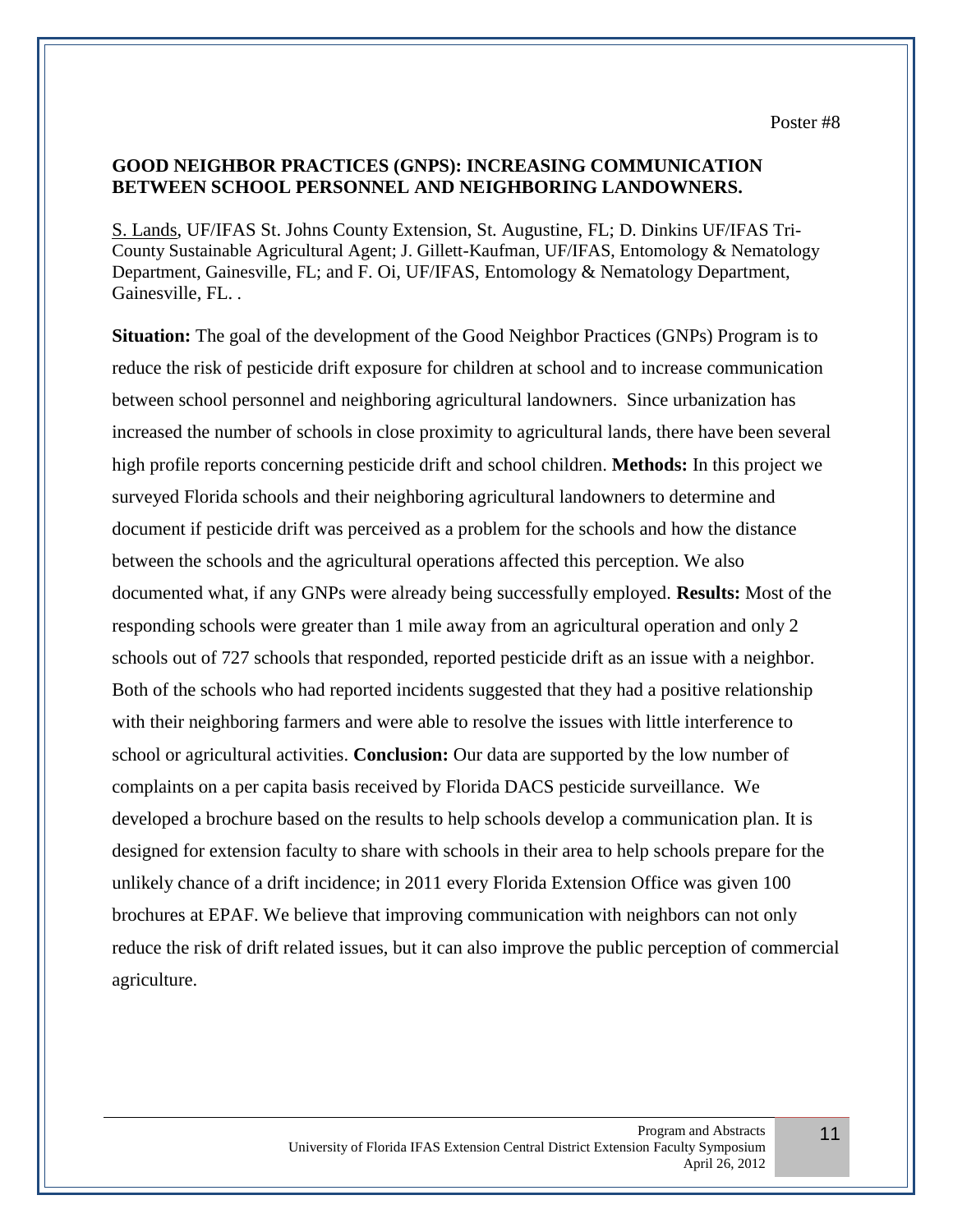# **GOOD NEIGHBOR PRACTICES (GNPS): INCREASING COMMUNICATION BETWEEN SCHOOL PERSONNEL AND NEIGHBORING LANDOWNERS.**

S. Lands, UF/IFAS St. Johns County Extension, St. Augustine, FL; D. Dinkins UF/IFAS Tri-County Sustainable Agricultural Agent; J. Gillett-Kaufman, UF/IFAS, Entomology & Nematology Department, Gainesville, FL; and F. Oi, UF/IFAS, Entomology & Nematology Department, Gainesville, FL. .

**Situation:** The goal of the development of the Good Neighbor Practices (GNPs) Program is to reduce the risk of pesticide drift exposure for children at school and to increase communication between school personnel and neighboring agricultural landowners. Since urbanization has increased the number of schools in close proximity to agricultural lands, there have been several high profile reports concerning pesticide drift and school children. **Methods:** In this project we surveyed Florida schools and their neighboring agricultural landowners to determine and document if pesticide drift was perceived as a problem for the schools and how the distance between the schools and the agricultural operations affected this perception. We also documented what, if any GNPs were already being successfully employed. **Results:** Most of the responding schools were greater than 1 mile away from an agricultural operation and only 2 schools out of 727 schools that responded, reported pesticide drift as an issue with a neighbor. Both of the schools who had reported incidents suggested that they had a positive relationship with their neighboring farmers and were able to resolve the issues with little interference to school or agricultural activities. **Conclusion:** Our data are supported by the low number of complaints on a per capita basis received by Florida DACS pesticide surveillance. We developed a brochure based on the results to help schools develop a communication plan. It is designed for extension faculty to share with schools in their area to help schools prepare for the unlikely chance of a drift incidence; in 2011 every Florida Extension Office was given 100 brochures at EPAF. We believe that improving communication with neighbors can not only reduce the risk of drift related issues, but it can also improve the public perception of commercial agriculture.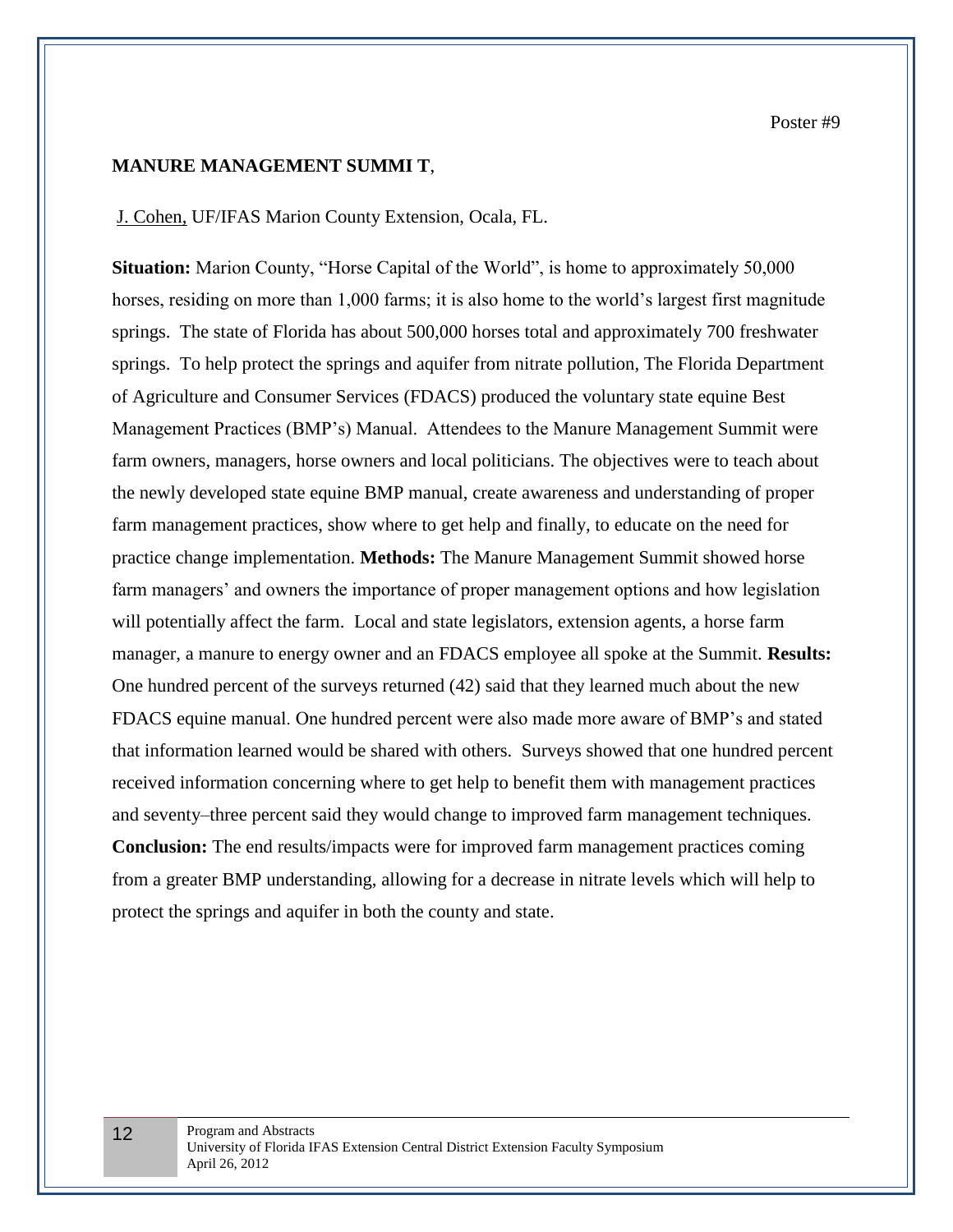#### **MANURE MANAGEMENT SUMMI T**,

#### J. Cohen, UF/IFAS Marion County Extension, Ocala, FL.

**Situation:** Marion County, "Horse Capital of the World", is home to approximately 50,000 horses, residing on more than 1,000 farms; it is also home to the world's largest first magnitude springs. The state of Florida has about 500,000 horses total and approximately 700 freshwater springs. To help protect the springs and aquifer from nitrate pollution, The Florida Department of Agriculture and Consumer Services (FDACS) produced the voluntary state equine Best Management Practices (BMP's) Manual. Attendees to the Manure Management Summit were farm owners, managers, horse owners and local politicians. The objectives were to teach about the newly developed state equine BMP manual, create awareness and understanding of proper farm management practices, show where to get help and finally, to educate on the need for practice change implementation. **Methods:** The Manure Management Summit showed horse farm managers' and owners the importance of proper management options and how legislation will potentially affect the farm. Local and state legislators, extension agents, a horse farm manager, a manure to energy owner and an FDACS employee all spoke at the Summit. **Results:** One hundred percent of the surveys returned (42) said that they learned much about the new FDACS equine manual. One hundred percent were also made more aware of BMP's and stated that information learned would be shared with others. Surveys showed that one hundred percent received information concerning where to get help to benefit them with management practices and seventy–three percent said they would change to improved farm management techniques. **Conclusion:** The end results/impacts were for improved farm management practices coming from a greater BMP understanding, allowing for a decrease in nitrate levels which will help to protect the springs and aquifer in both the county and state.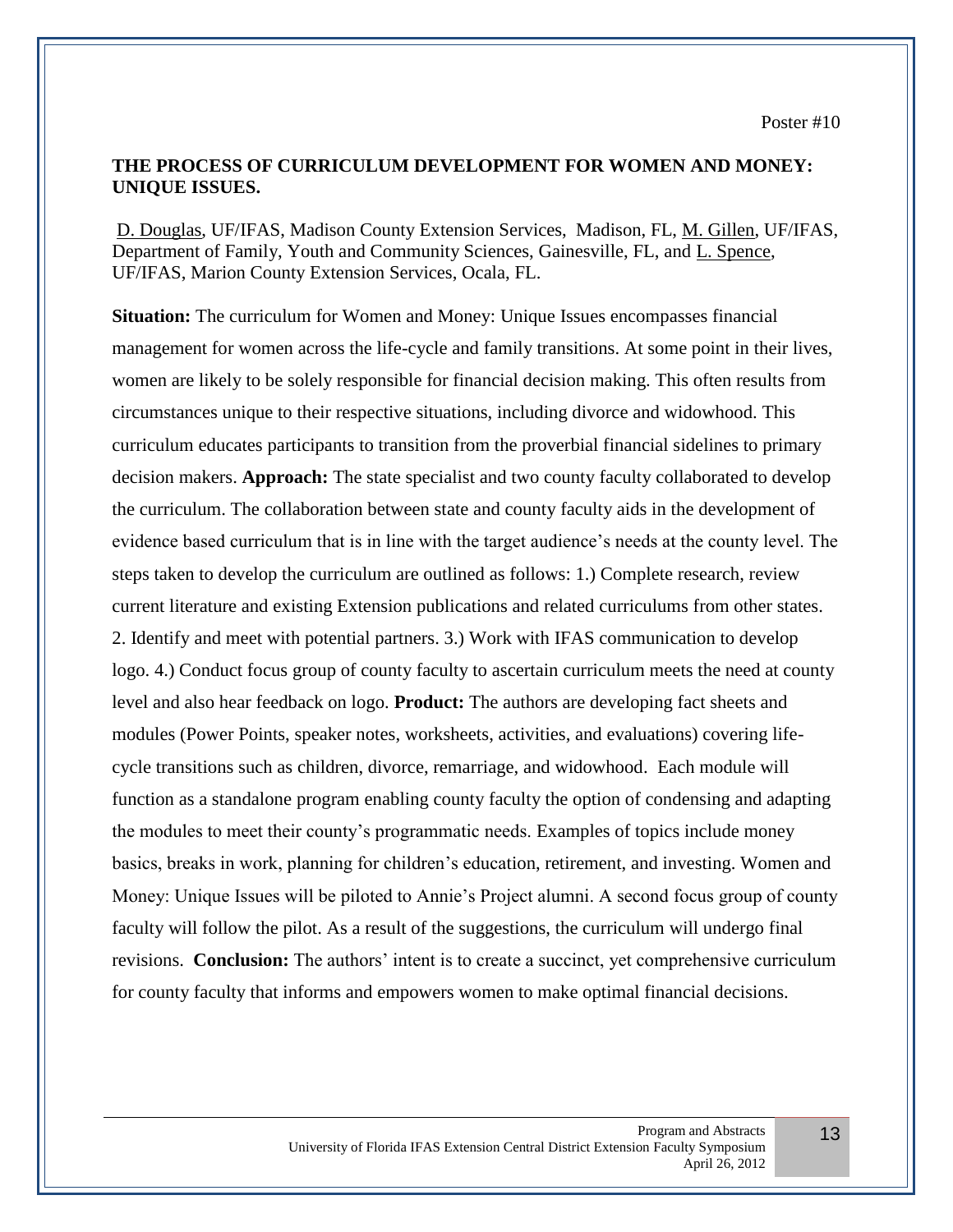#### **THE PROCESS OF CURRICULUM DEVELOPMENT FOR WOMEN AND MONEY: UNIQUE ISSUES.**

D. Douglas, UF/IFAS, Madison County Extension Services, Madison, FL, M. Gillen, UF/IFAS, Department of Family, Youth and Community Sciences, Gainesville, FL, and L. Spence, UF/IFAS, Marion County Extension Services, Ocala, FL.

**Situation:** The curriculum for Women and Money: Unique Issues encompasses financial management for women across the life-cycle and family transitions. At some point in their lives, women are likely to be solely responsible for financial decision making. This often results from circumstances unique to their respective situations, including divorce and widowhood. This curriculum educates participants to transition from the proverbial financial sidelines to primary decision makers. **Approach:** The state specialist and two county faculty collaborated to develop the curriculum. The collaboration between state and county faculty aids in the development of evidence based curriculum that is in line with the target audience's needs at the county level. The steps taken to develop the curriculum are outlined as follows: 1.) Complete research, review current literature and existing Extension publications and related curriculums from other states. 2. Identify and meet with potential partners. 3.) Work with IFAS communication to develop logo. 4.) Conduct focus group of county faculty to ascertain curriculum meets the need at county level and also hear feedback on logo. **Product:** The authors are developing fact sheets and modules (Power Points, speaker notes, worksheets, activities, and evaluations) covering lifecycle transitions such as children, divorce, remarriage, and widowhood. Each module will function as a standalone program enabling county faculty the option of condensing and adapting the modules to meet their county's programmatic needs. Examples of topics include money basics, breaks in work, planning for children's education, retirement, and investing. Women and Money: Unique Issues will be piloted to Annie's Project alumni. A second focus group of county faculty will follow the pilot. As a result of the suggestions, the curriculum will undergo final revisions. **Conclusion:** The authors' intent is to create a succinct, yet comprehensive curriculum for county faculty that informs and empowers women to make optimal financial decisions.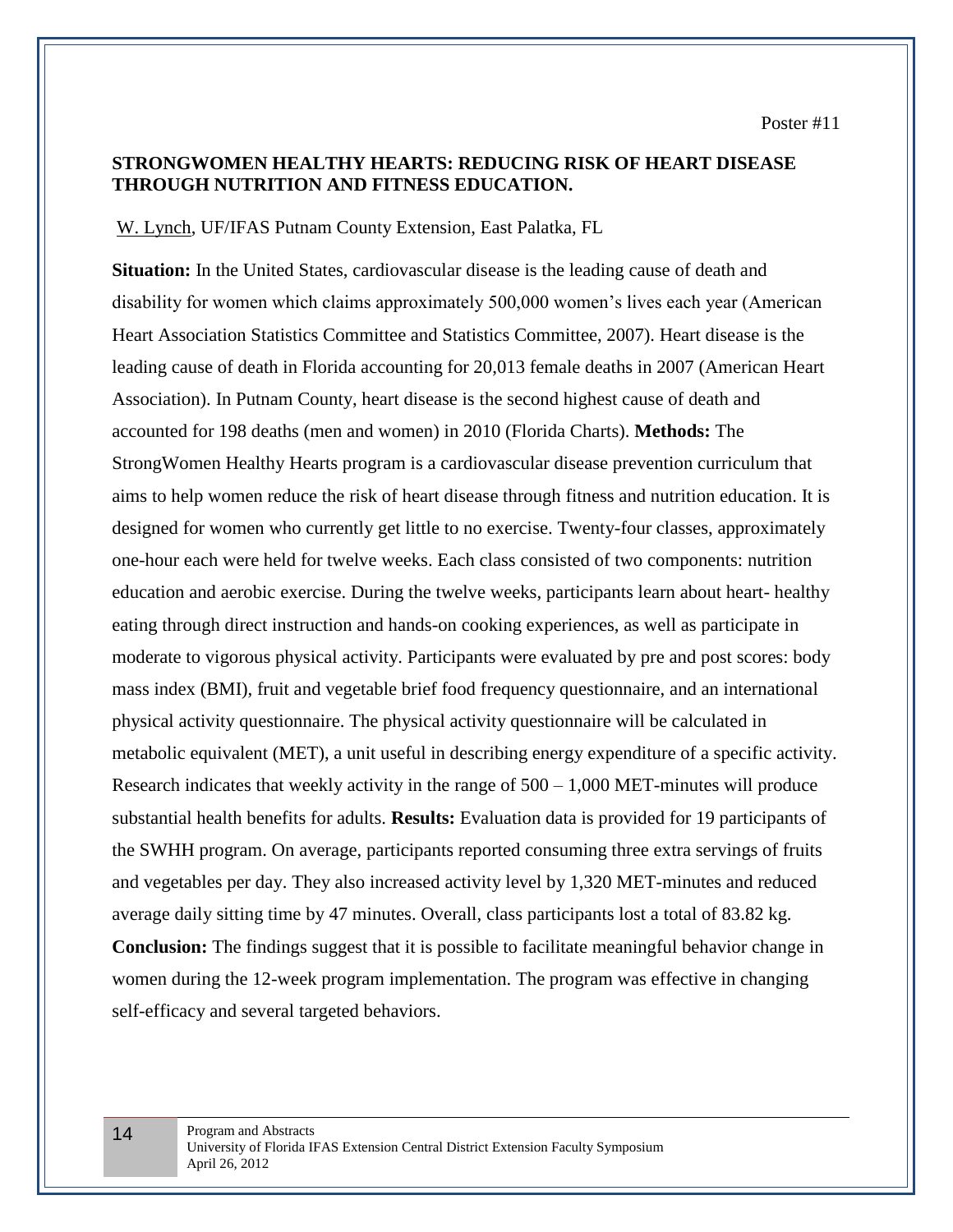# **STRONGWOMEN HEALTHY HEARTS: REDUCING RISK OF HEART DISEASE THROUGH NUTRITION AND FITNESS EDUCATION.**

#### W. Lynch, UF/IFAS Putnam County Extension, East Palatka, FL

**Situation:** In the United States, cardiovascular disease is the leading cause of death and disability for women which claims approximately 500,000 women's lives each year (American Heart Association Statistics Committee and Statistics Committee, 2007). Heart disease is the leading cause of death in Florida accounting for 20,013 female deaths in 2007 (American Heart Association). In Putnam County, heart disease is the second highest cause of death and accounted for 198 deaths (men and women) in 2010 (Florida Charts). **Methods:** The StrongWomen Healthy Hearts program is a cardiovascular disease prevention curriculum that aims to help women reduce the risk of heart disease through fitness and nutrition education. It is designed for women who currently get little to no exercise. Twenty-four classes, approximately one-hour each were held for twelve weeks. Each class consisted of two components: nutrition education and aerobic exercise. During the twelve weeks, participants learn about heart- healthy eating through direct instruction and hands-on cooking experiences, as well as participate in moderate to vigorous physical activity. Participants were evaluated by pre and post scores: body mass index (BMI), fruit and vegetable brief food frequency questionnaire, and an international physical activity questionnaire. The physical activity questionnaire will be calculated in metabolic equivalent (MET), a unit useful in describing energy expenditure of a specific activity. Research indicates that weekly activity in the range of  $500 - 1,000$  MET-minutes will produce substantial health benefits for adults. **Results:** Evaluation data is provided for 19 participants of the SWHH program. On average, participants reported consuming three extra servings of fruits and vegetables per day. They also increased activity level by 1,320 MET-minutes and reduced average daily sitting time by 47 minutes. Overall, class participants lost a total of 83.82 kg. **Conclusion:** The findings suggest that it is possible to facilitate meaningful behavior change in women during the 12-week program implementation. The program was effective in changing self-efficacy and several targeted behaviors.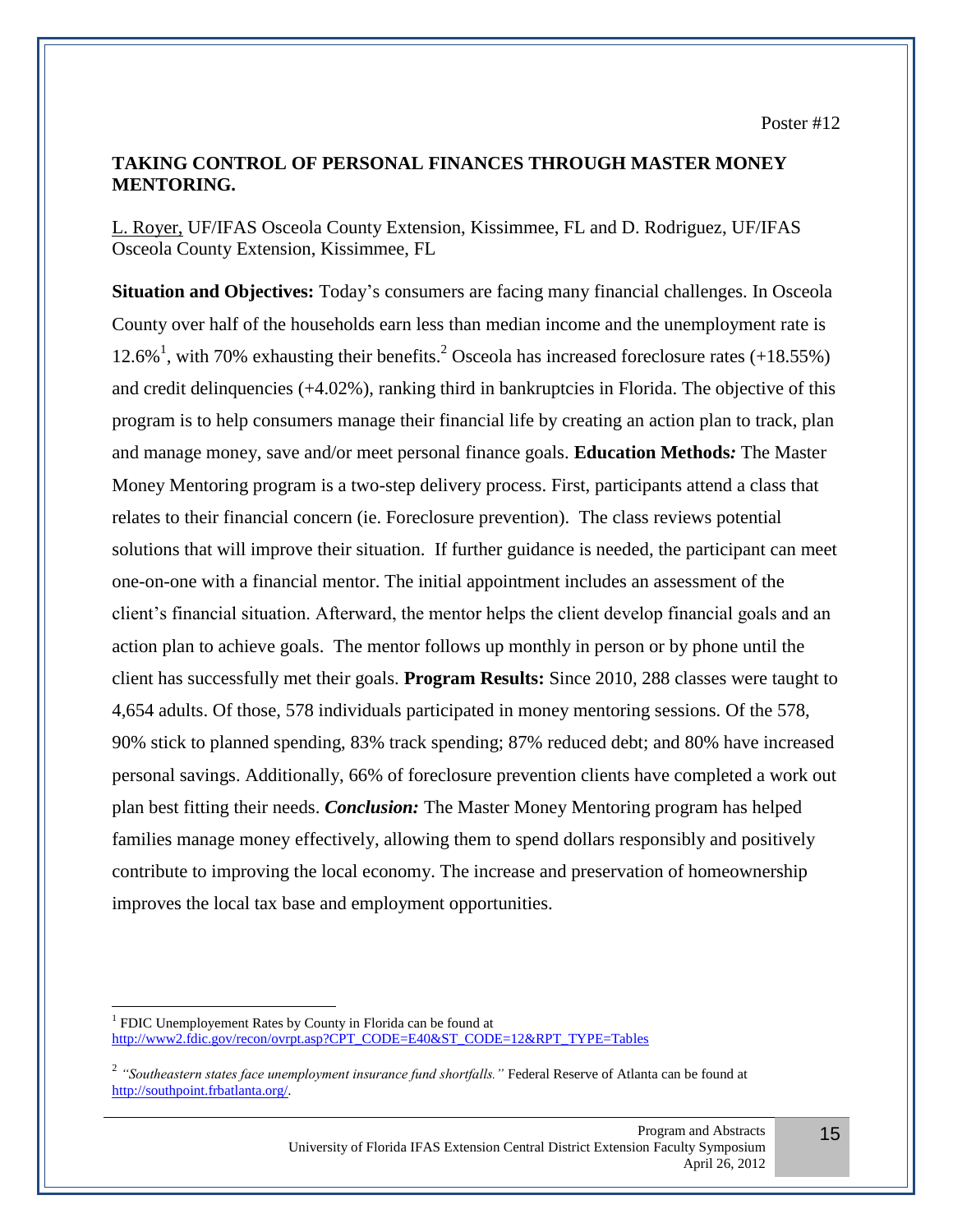# **TAKING CONTROL OF PERSONAL FINANCES THROUGH MASTER MONEY MENTORING.**

L. Royer, UF/IFAS Osceola County Extension, Kissimmee, FL and D. Rodriguez, UF/IFAS Osceola County Extension, Kissimmee, FL

**Situation and Objectives:** Today's consumers are facing many financial challenges. In Osceola County over half of the households earn less than median income and the unemployment rate is 12.6%<sup>1</sup>, with 70% exhausting their benefits.<sup>2</sup> Osceola has increased foreclosure rates  $(+18.55%)$ and credit delinquencies (+4.02%), ranking third in bankruptcies in Florida. The objective of this program is to help consumers manage their financial life by creating an action plan to track, plan and manage money, save and/or meet personal finance goals. **Education Methods***:* The Master Money Mentoring program is a two-step delivery process. First, participants attend a class that relates to their financial concern (ie. Foreclosure prevention). The class reviews potential solutions that will improve their situation. If further guidance is needed, the participant can meet one-on-one with a financial mentor. The initial appointment includes an assessment of the client's financial situation. Afterward, the mentor helps the client develop financial goals and an action plan to achieve goals. The mentor follows up monthly in person or by phone until the client has successfully met their goals. **Program Results:** Since 2010, 288 classes were taught to 4,654 adults. Of those, 578 individuals participated in money mentoring sessions. Of the 578, 90% stick to planned spending, 83% track spending; 87% reduced debt; and 80% have increased personal savings. Additionally, 66% of foreclosure prevention clients have completed a work out plan best fitting their needs. *Conclusion:* The Master Money Mentoring program has helped families manage money effectively, allowing them to spend dollars responsibly and positively contribute to improving the local economy. The increase and preservation of homeownership improves the local tax base and employment opportunities.

 $\overline{a}$ 

<sup>&</sup>lt;sup>1</sup> FDIC Unemployement Rates by County in Florida can be found at [http://www2.fdic.gov/recon/ovrpt.asp?CPT\\_CODE=E40&ST\\_CODE=12&RPT\\_TYPE=Tables](http://www2.fdic.gov/recon/ovrpt.asp?CPT_CODE=E40&ST_CODE=12&RPT_TYPE=Tables)

<sup>2</sup> *"Southeastern states face unemployment insurance fund shortfalls."* Federal Reserve of Atlanta can be found at [http://southpoint.frbatlanta.org/.](http://southpoint.frbatlanta.org/)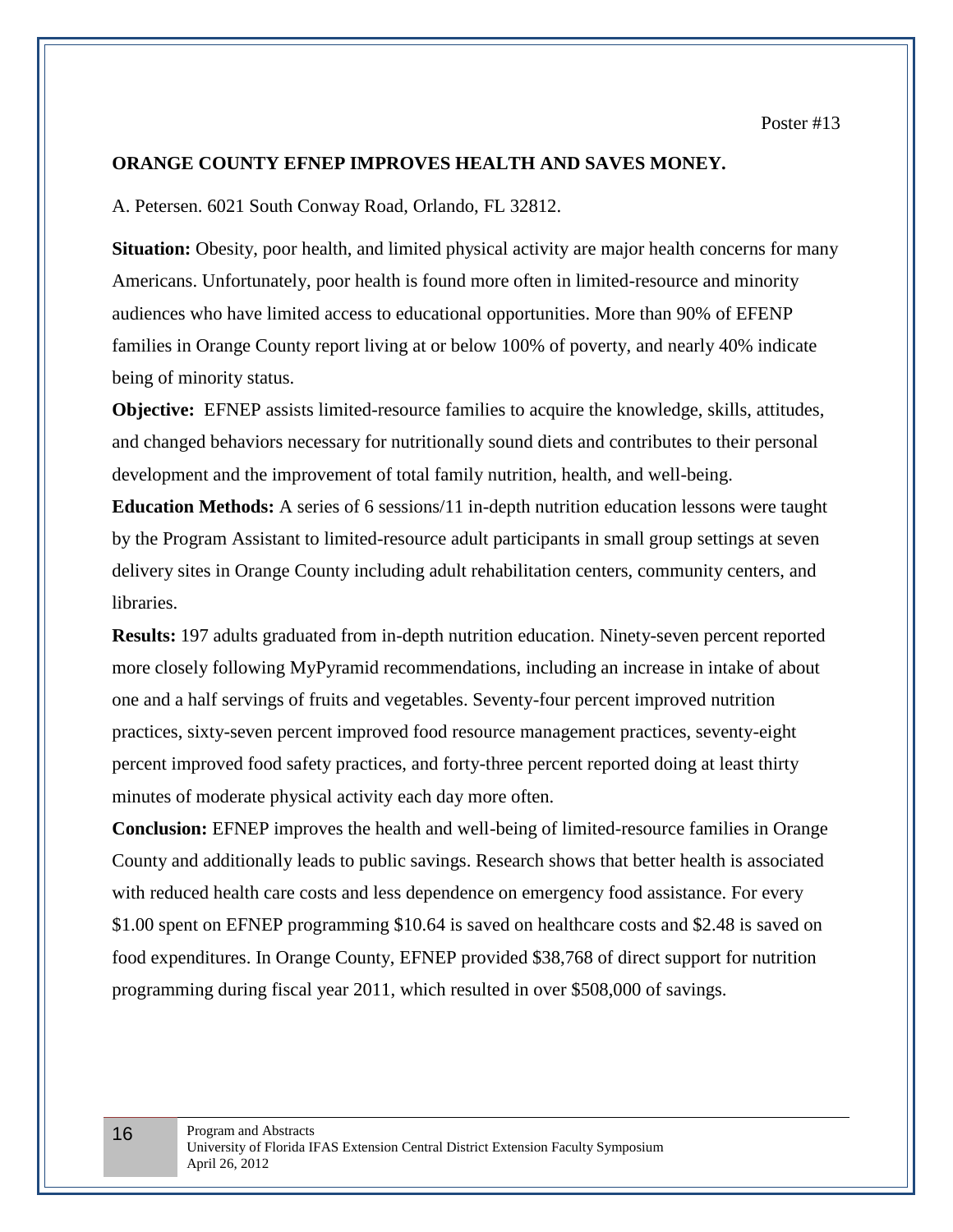# **ORANGE COUNTY EFNEP IMPROVES HEALTH AND SAVES MONEY.**

A. Petersen. 6021 South Conway Road, Orlando, FL 32812.

**Situation:** Obesity, poor health, and limited physical activity are major health concerns for many Americans. Unfortunately, poor health is found more often in limited-resource and minority audiences who have limited access to educational opportunities. More than 90% of EFENP families in Orange County report living at or below 100% of poverty, and nearly 40% indicate being of minority status.

**Objective:** EFNEP assists limited-resource families to acquire the knowledge, skills, attitudes, and changed behaviors necessary for nutritionally sound diets and contributes to their personal development and the improvement of total family nutrition, health, and well-being.

**Education Methods:** A series of 6 sessions/11 in-depth nutrition education lessons were taught by the Program Assistant to limited-resource adult participants in small group settings at seven delivery sites in Orange County including adult rehabilitation centers, community centers, and libraries.

**Results:** 197 adults graduated from in-depth nutrition education. Ninety-seven percent reported more closely following MyPyramid recommendations, including an increase in intake of about one and a half servings of fruits and vegetables. Seventy-four percent improved nutrition practices, sixty-seven percent improved food resource management practices, seventy-eight percent improved food safety practices, and forty-three percent reported doing at least thirty minutes of moderate physical activity each day more often.

**Conclusion:** EFNEP improves the health and well-being of limited-resource families in Orange County and additionally leads to public savings. Research shows that better health is associated with reduced health care costs and less dependence on emergency food assistance. For every \$1.00 spent on EFNEP programming \$10.64 is saved on healthcare costs and \$2.48 is saved on food expenditures. In Orange County, EFNEP provided \$38,768 of direct support for nutrition programming during fiscal year 2011, which resulted in over \$508,000 of savings.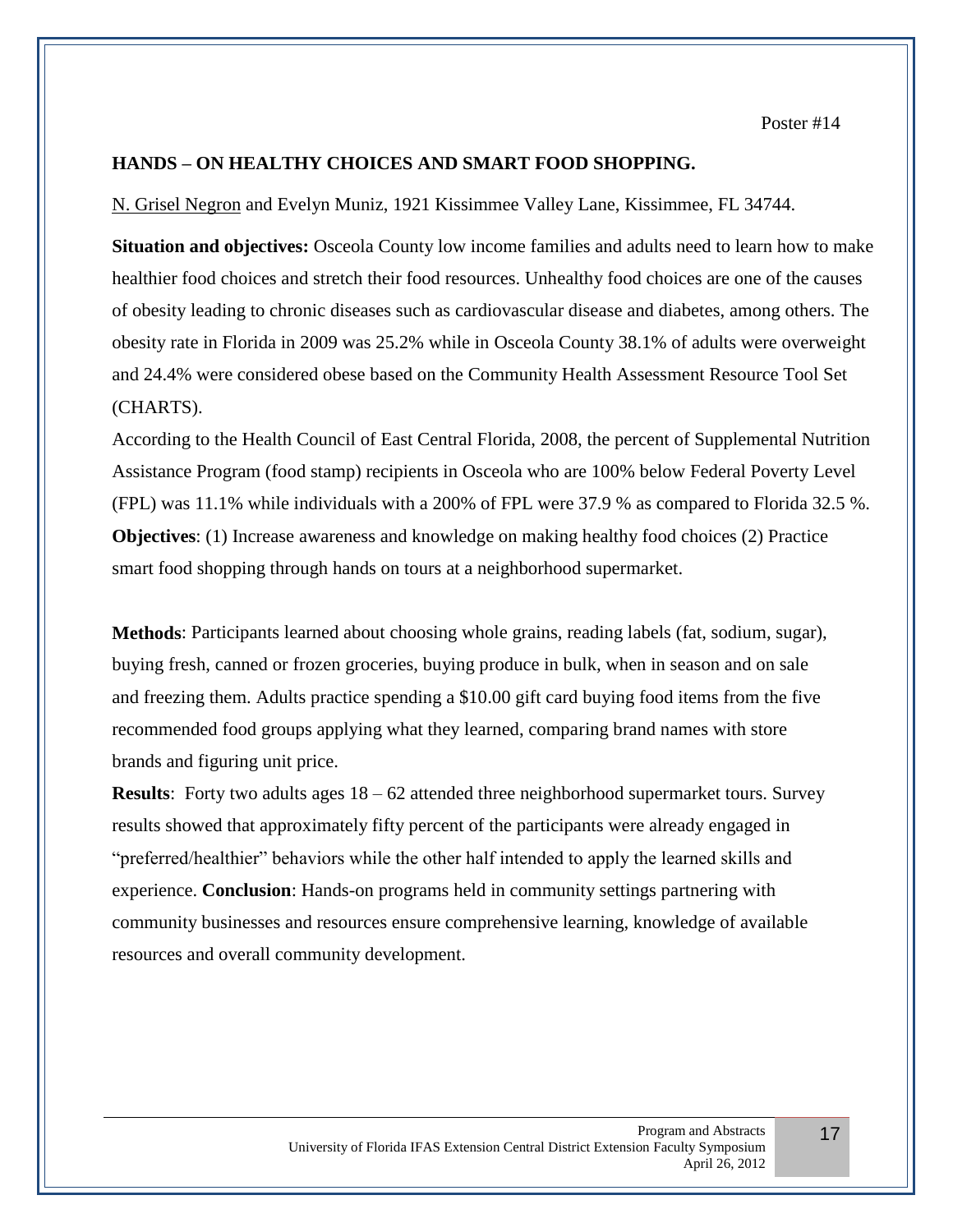Poster #14

## **HANDS – ON HEALTHY CHOICES AND SMART FOOD SHOPPING.**

N. Grisel Negron and Evelyn Muniz, 1921 Kissimmee Valley Lane, Kissimmee, FL 34744.

**Situation and objectives:** Osceola County low income families and adults need to learn how to make healthier food choices and stretch their food resources. Unhealthy food choices are one of the causes of obesity leading to chronic diseases such as cardiovascular disease and diabetes, among others. The obesity rate in Florida in 2009 was 25.2% while in Osceola County 38.1% of adults were overweight and 24.4% were considered obese based on the Community Health Assessment Resource Tool Set (CHARTS).

According to the Health Council of East Central Florida, 2008, the percent of Supplemental Nutrition Assistance Program (food stamp) recipients in Osceola who are 100% below Federal Poverty Level (FPL) was 11.1% while individuals with a 200% of FPL were 37.9 % as compared to Florida 32.5 %. **Objectives**: (1) Increase awareness and knowledge on making healthy food choices (2) Practice smart food shopping through hands on tours at a neighborhood supermarket.

**Methods**: Participants learned about choosing whole grains, reading labels (fat, sodium, sugar), buying fresh, canned or frozen groceries, buying produce in bulk, when in season and on sale and freezing them. Adults practice spending a \$10.00 gift card buying food items from the five recommended food groups applying what they learned, comparing brand names with store brands and figuring unit price.

**Results**: Forty two adults ages 18 – 62 attended three neighborhood supermarket tours. Survey results showed that approximately fifty percent of the participants were already engaged in "preferred/healthier" behaviors while the other half intended to apply the learned skills and experience. **Conclusion**: Hands-on programs held in community settings partnering with community businesses and resources ensure comprehensive learning, knowledge of available resources and overall community development.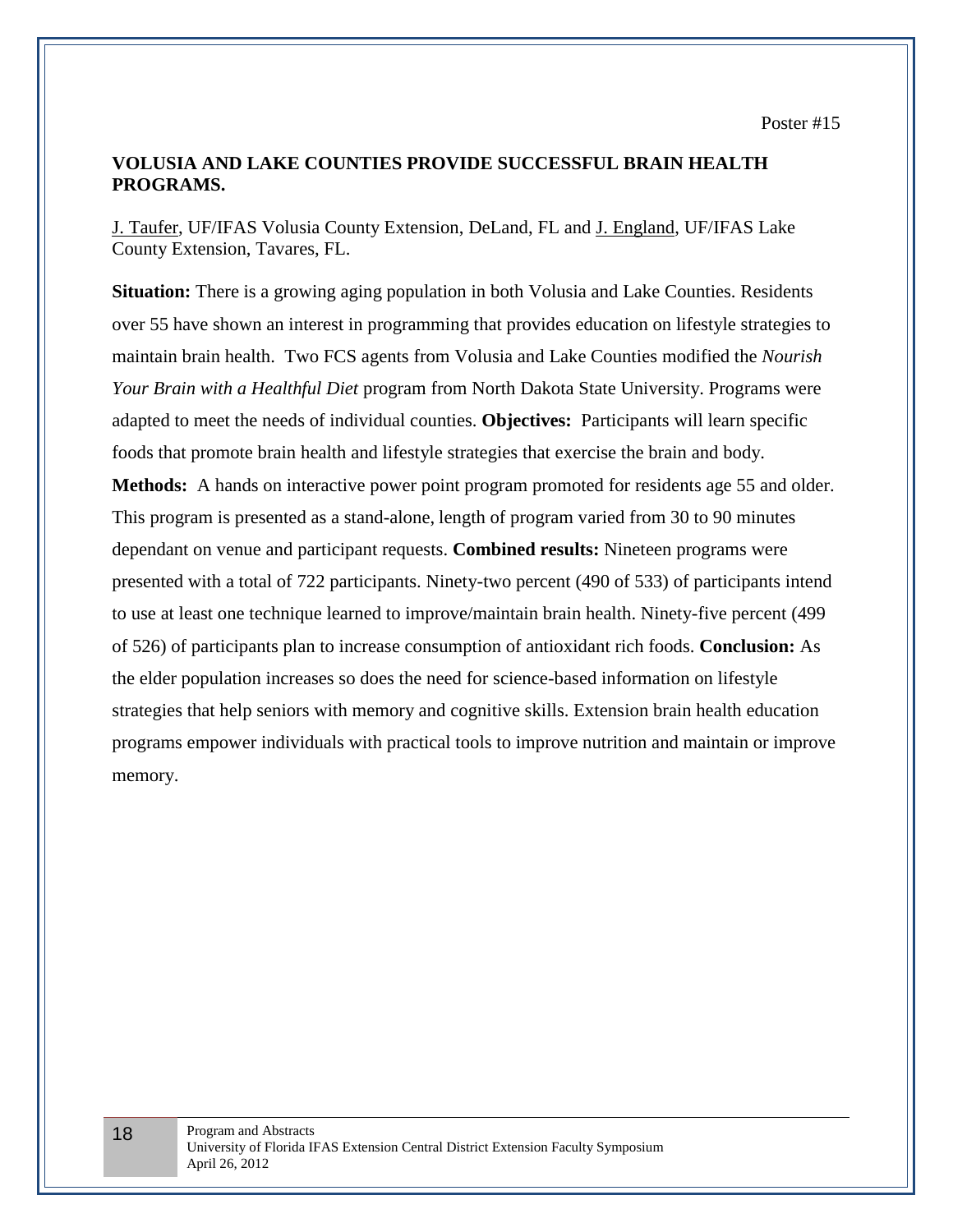Poster #15

# **VOLUSIA AND LAKE COUNTIES PROVIDE SUCCESSFUL BRAIN HEALTH PROGRAMS.**

J. Taufer, UF/IFAS Volusia County Extension, DeLand, FL and J. England, UF/IFAS Lake County Extension, Tavares, FL.

**Situation:** There is a growing aging population in both Volusia and Lake Counties. Residents over 55 have shown an interest in programming that provides education on lifestyle strategies to maintain brain health. Two FCS agents from Volusia and Lake Counties modified the *Nourish Your Brain with a Healthful Diet* program from North Dakota State University. Programs were adapted to meet the needs of individual counties. **Objectives:** Participants will learn specific foods that promote brain health and lifestyle strategies that exercise the brain and body. **Methods:** A hands on interactive power point program promoted for residents age 55 and older. This program is presented as a stand-alone, length of program varied from 30 to 90 minutes dependant on venue and participant requests. **Combined results:** Nineteen programs were presented with a total of 722 participants. Ninety-two percent (490 of 533) of participants intend to use at least one technique learned to improve/maintain brain health. Ninety-five percent (499 of 526) of participants plan to increase consumption of antioxidant rich foods. **Conclusion:** As the elder population increases so does the need for science-based information on lifestyle strategies that help seniors with memory and cognitive skills. Extension brain health education programs empower individuals with practical tools to improve nutrition and maintain or improve memory.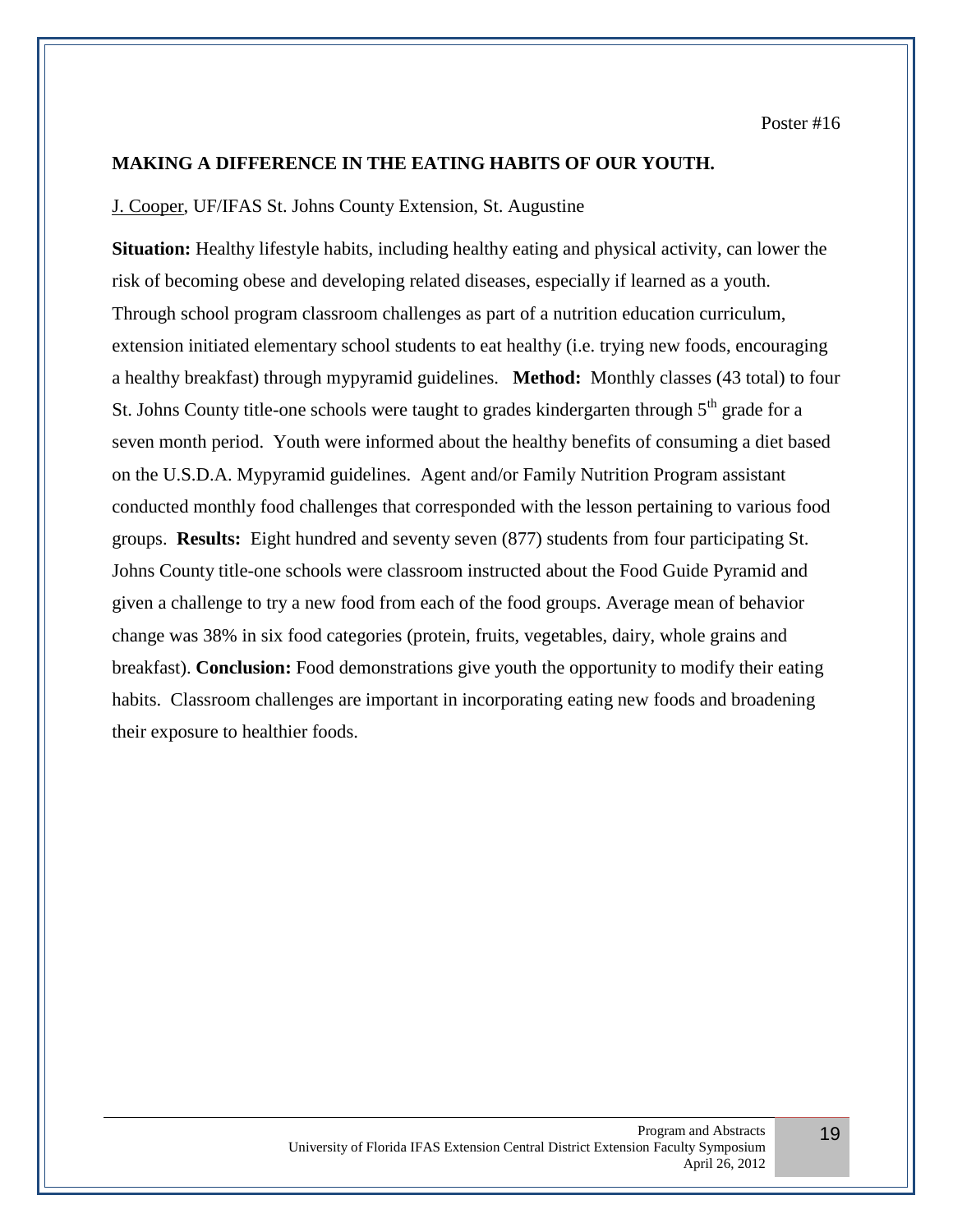# **MAKING A DIFFERENCE IN THE EATING HABITS OF OUR YOUTH.**

#### J. Cooper, UF/IFAS St. Johns County Extension, St. Augustine

**Situation:** Healthy lifestyle habits, including healthy eating and physical activity, can lower the risk of becoming obese and developing related diseases, especially if learned as a youth. Through school program classroom challenges as part of a nutrition education curriculum, extension initiated elementary school students to eat healthy (i.e. trying new foods, encouraging a healthy breakfast) through mypyramid guidelines. **Method:** Monthly classes (43 total) to four St. Johns County title-one schools were taught to grades kindergarten through  $5<sup>th</sup>$  grade for a seven month period. Youth were informed about the healthy benefits of consuming a diet based on the U.S.D.A. Mypyramid guidelines. Agent and/or Family Nutrition Program assistant conducted monthly food challenges that corresponded with the lesson pertaining to various food groups. **Results:** Eight hundred and seventy seven (877) students from four participating St. Johns County title-one schools were classroom instructed about the Food Guide Pyramid and given a challenge to try a new food from each of the food groups. Average mean of behavior change was 38% in six food categories (protein, fruits, vegetables, dairy, whole grains and breakfast). **Conclusion:** Food demonstrations give youth the opportunity to modify their eating habits. Classroom challenges are important in incorporating eating new foods and broadening their exposure to healthier foods.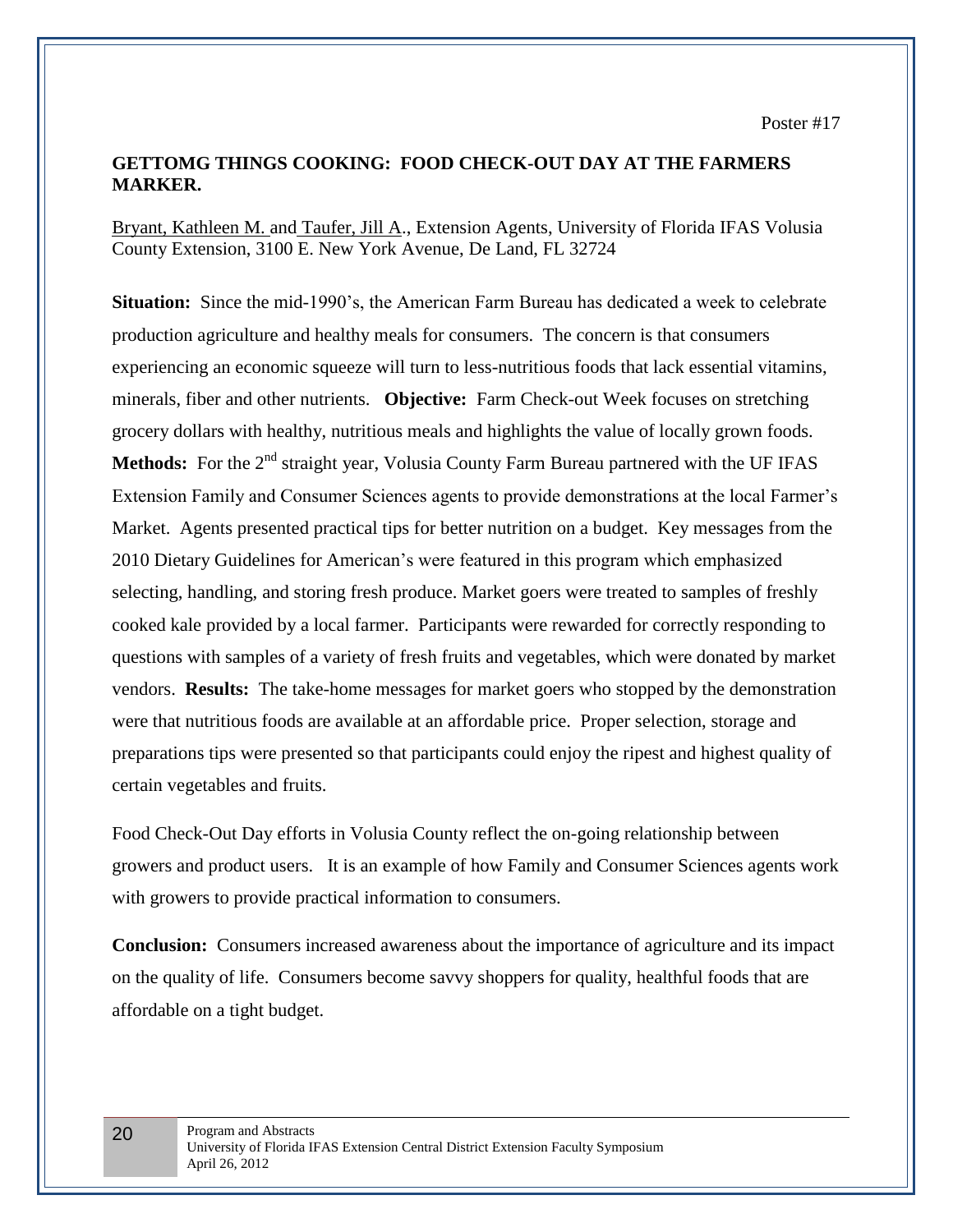# **GETTOMG THINGS COOKING: FOOD CHECK-OUT DAY AT THE FARMERS MARKER.**

Bryant, Kathleen M. and Taufer, Jill A., Extension Agents, University of Florida IFAS Volusia County Extension, 3100 E. New York Avenue, De Land, FL 32724

**Situation:** Since the mid-1990's, the American Farm Bureau has dedicated a week to celebrate production agriculture and healthy meals for consumers. The concern is that consumers experiencing an economic squeeze will turn to less-nutritious foods that lack essential vitamins, minerals, fiber and other nutrients. **Objective:** Farm Check-out Week focuses on stretching grocery dollars with healthy, nutritious meals and highlights the value of locally grown foods. **Methods:** For the 2<sup>nd</sup> straight year, Volusia County Farm Bureau partnered with the UF IFAS Extension Family and Consumer Sciences agents to provide demonstrations at the local Farmer's Market. Agents presented practical tips for better nutrition on a budget. Key messages from the 2010 Dietary Guidelines for American's were featured in this program which emphasized selecting, handling, and storing fresh produce. Market goers were treated to samples of freshly cooked kale provided by a local farmer. Participants were rewarded for correctly responding to questions with samples of a variety of fresh fruits and vegetables, which were donated by market vendors. **Results:** The take-home messages for market goers who stopped by the demonstration were that nutritious foods are available at an affordable price. Proper selection, storage and preparations tips were presented so that participants could enjoy the ripest and highest quality of certain vegetables and fruits.

Food Check-Out Day efforts in Volusia County reflect the on-going relationship between growers and product users. It is an example of how Family and Consumer Sciences agents work with growers to provide practical information to consumers.

**Conclusion:** Consumers increased awareness about the importance of agriculture and its impact on the quality of life. Consumers become savvy shoppers for quality, healthful foods that are affordable on a tight budget.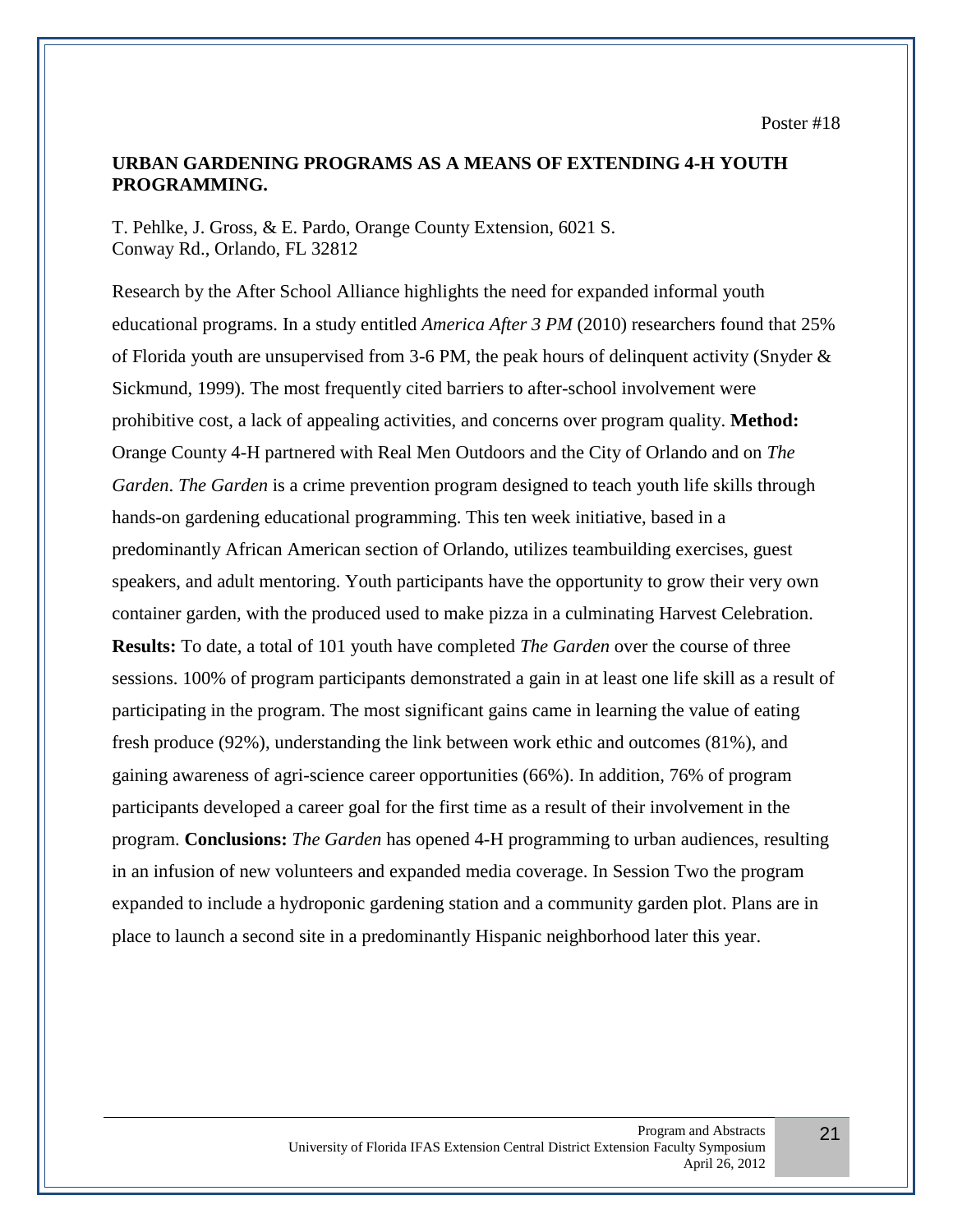# **URBAN GARDENING PROGRAMS AS A MEANS OF EXTENDING 4-H YOUTH PROGRAMMING.**

T. Pehlke, J. Gross, & E. Pardo, Orange County Extension, 6021 S. Conway Rd., Orlando, FL 32812

Research by the After School Alliance highlights the need for expanded informal youth educational programs. In a study entitled *America After 3 PM* (2010) researchers found that 25% of Florida youth are unsupervised from 3-6 PM, the peak hours of delinquent activity (Snyder  $\&$ Sickmund, 1999). The most frequently cited barriers to after-school involvement were prohibitive cost, a lack of appealing activities, and concerns over program quality. **Method:** Orange County 4-H partnered with Real Men Outdoors and the City of Orlando and on *The Garden*. *The Garden* is a crime prevention program designed to teach youth life skills through hands-on gardening educational programming. This ten week initiative, based in a predominantly African American section of Orlando, utilizes teambuilding exercises, guest speakers, and adult mentoring. Youth participants have the opportunity to grow their very own container garden, with the produced used to make pizza in a culminating Harvest Celebration. **Results:** To date, a total of 101 youth have completed *The Garden* over the course of three sessions. 100% of program participants demonstrated a gain in at least one life skill as a result of participating in the program. The most significant gains came in learning the value of eating fresh produce (92%), understanding the link between work ethic and outcomes (81%), and gaining awareness of agri-science career opportunities (66%). In addition, 76% of program participants developed a career goal for the first time as a result of their involvement in the program. **Conclusions:** *The Garden* has opened 4-H programming to urban audiences, resulting in an infusion of new volunteers and expanded media coverage. In Session Two the program expanded to include a hydroponic gardening station and a community garden plot. Plans are in place to launch a second site in a predominantly Hispanic neighborhood later this year.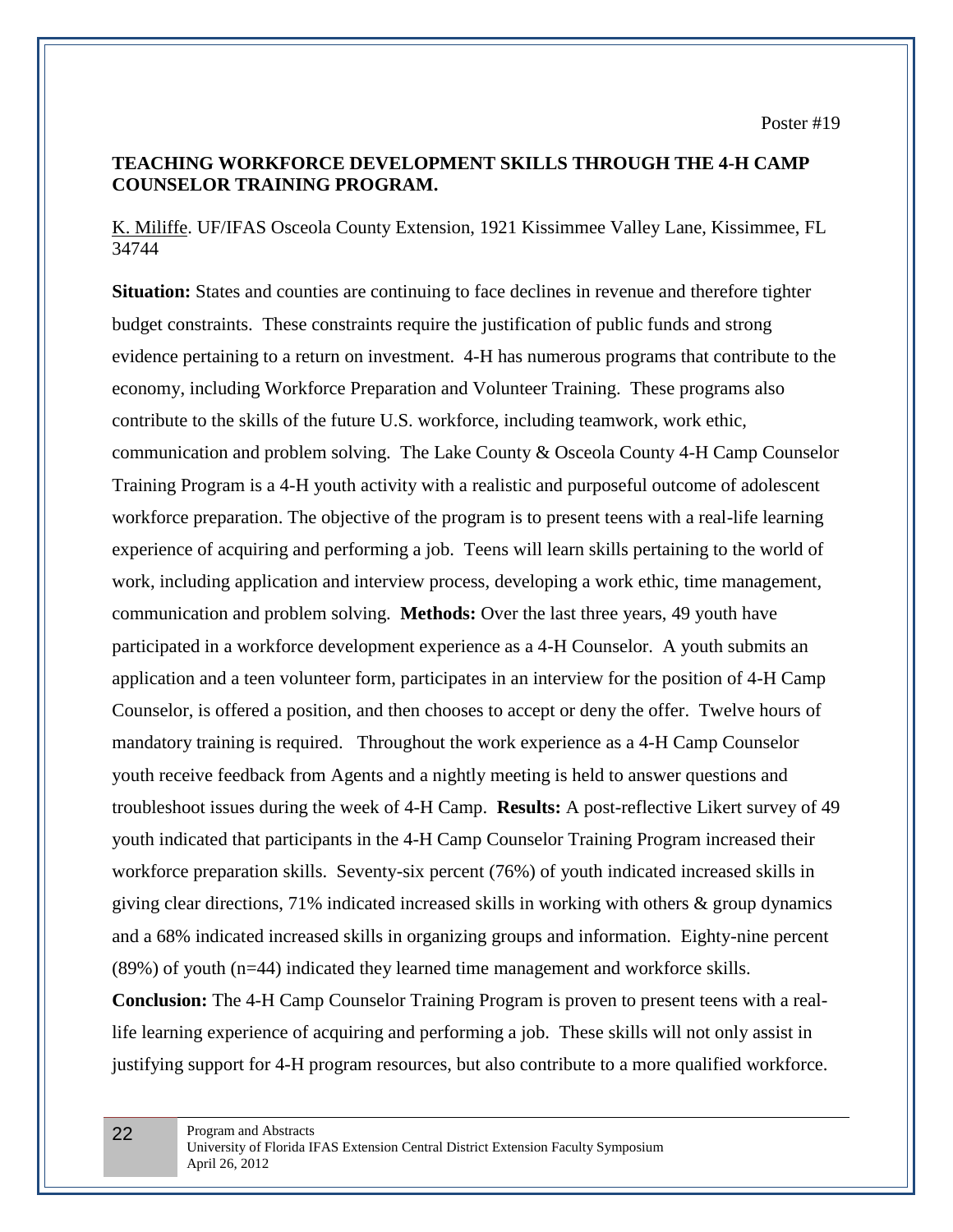# **TEACHING WORKFORCE DEVELOPMENT SKILLS THROUGH THE 4-H CAMP COUNSELOR TRAINING PROGRAM.**

K. Miliffe. UF/IFAS Osceola County Extension, 1921 Kissimmee Valley Lane, Kissimmee, FL 34744

**Situation:** States and counties are continuing to face declines in revenue and therefore tighter budget constraints. These constraints require the justification of public funds and strong evidence pertaining to a return on investment. 4-H has numerous programs that contribute to the economy, including Workforce Preparation and Volunteer Training. These programs also contribute to the skills of the future U.S. workforce, including teamwork, work ethic, communication and problem solving. The Lake County & Osceola County 4-H Camp Counselor Training Program is a 4-H youth activity with a realistic and purposeful outcome of adolescent workforce preparation. The objective of the program is to present teens with a real-life learning experience of acquiring and performing a job. Teens will learn skills pertaining to the world of work, including application and interview process, developing a work ethic, time management, communication and problem solving. **Methods:** Over the last three years, 49 youth have participated in a workforce development experience as a 4-H Counselor. A youth submits an application and a teen volunteer form, participates in an interview for the position of 4-H Camp Counselor, is offered a position, and then chooses to accept or deny the offer. Twelve hours of mandatory training is required. Throughout the work experience as a 4-H Camp Counselor youth receive feedback from Agents and a nightly meeting is held to answer questions and troubleshoot issues during the week of 4-H Camp. **Results:** A post-reflective Likert survey of 49 youth indicated that participants in the 4-H Camp Counselor Training Program increased their workforce preparation skills. Seventy-six percent (76%) of youth indicated increased skills in giving clear directions, 71% indicated increased skills in working with others & group dynamics and a 68% indicated increased skills in organizing groups and information. Eighty-nine percent (89%) of youth (n=44) indicated they learned time management and workforce skills. **Conclusion:** The 4-H Camp Counselor Training Program is proven to present teens with a reallife learning experience of acquiring and performing a job. These skills will not only assist in justifying support for 4-H program resources, but also contribute to a more qualified workforce.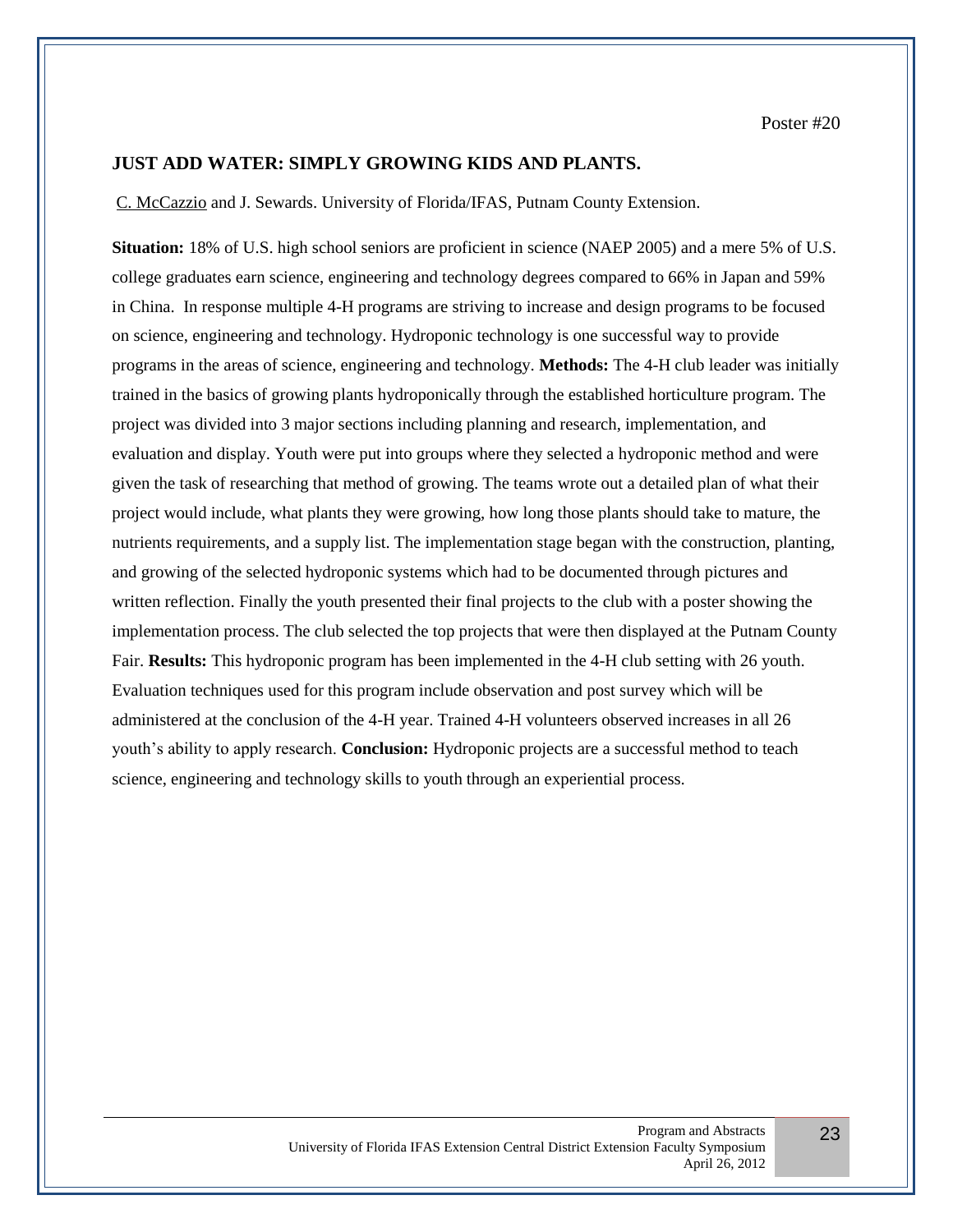Poster #20

# **JUST ADD WATER: SIMPLY GROWING KIDS AND PLANTS.**

C. McCazzio and J. Sewards. University of Florida/IFAS, Putnam County Extension.

**Situation:** 18% of U.S. high school seniors are proficient in science (NAEP 2005) and a mere 5% of U.S. college graduates earn science, engineering and technology degrees compared to 66% in Japan and 59% in China. In response multiple 4-H programs are striving to increase and design programs to be focused on science, engineering and technology. Hydroponic technology is one successful way to provide programs in the areas of science, engineering and technology. **Methods:** The 4-H club leader was initially trained in the basics of growing plants hydroponically through the established horticulture program. The project was divided into 3 major sections including planning and research, implementation, and evaluation and display. Youth were put into groups where they selected a hydroponic method and were given the task of researching that method of growing. The teams wrote out a detailed plan of what their project would include, what plants they were growing, how long those plants should take to mature, the nutrients requirements, and a supply list. The implementation stage began with the construction, planting, and growing of the selected hydroponic systems which had to be documented through pictures and written reflection. Finally the youth presented their final projects to the club with a poster showing the implementation process. The club selected the top projects that were then displayed at the Putnam County Fair. **Results:** This hydroponic program has been implemented in the 4-H club setting with 26 youth. Evaluation techniques used for this program include observation and post survey which will be administered at the conclusion of the 4-H year. Trained 4-H volunteers observed increases in all 26 youth's ability to apply research. **Conclusion:** Hydroponic projects are a successful method to teach science, engineering and technology skills to youth through an experiential process.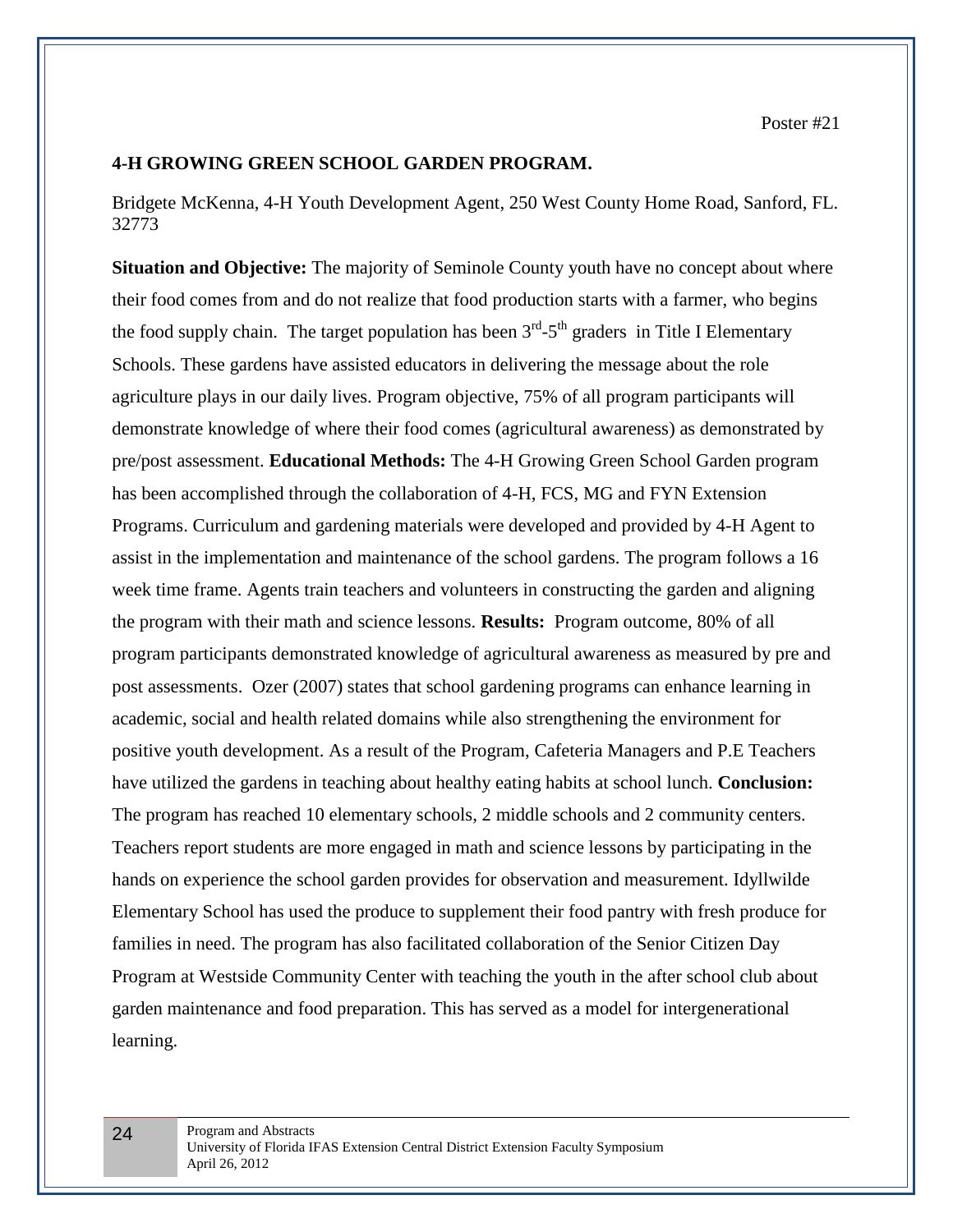#### **4-H GROWING GREEN SCHOOL GARDEN PROGRAM.**

Bridgete McKenna, 4-H Youth Development Agent, 250 West County Home Road, Sanford, FL. 32773

**Situation and Objective:** The majority of Seminole County youth have no concept about where their food comes from and do not realize that food production starts with a farmer, who begins the food supply chain. The target population has been  $3<sup>rd</sup> - 5<sup>th</sup>$  graders in Title I Elementary Schools. These gardens have assisted educators in delivering the message about the role agriculture plays in our daily lives. Program objective, 75% of all program participants will demonstrate knowledge of where their food comes (agricultural awareness) as demonstrated by pre/post assessment. **Educational Methods:** The 4-H Growing Green School Garden program has been accomplished through the collaboration of 4-H, FCS, MG and FYN Extension Programs. Curriculum and gardening materials were developed and provided by 4-H Agent to assist in the implementation and maintenance of the school gardens. The program follows a 16 week time frame. Agents train teachers and volunteers in constructing the garden and aligning the program with their math and science lessons. **Results:** Program outcome, 80% of all program participants demonstrated knowledge of agricultural awareness as measured by pre and post assessments. Ozer (2007) states that school gardening programs can enhance learning in academic, social and health related domains while also strengthening the environment for positive youth development. As a result of the Program, Cafeteria Managers and P.E Teachers have utilized the gardens in teaching about healthy eating habits at school lunch. **Conclusion:** The program has reached 10 elementary schools, 2 middle schools and 2 community centers. Teachers report students are more engaged in math and science lessons by participating in the hands on experience the school garden provides for observation and measurement. Idyllwilde Elementary School has used the produce to supplement their food pantry with fresh produce for families in need. The program has also facilitated collaboration of the Senior Citizen Day Program at Westside Community Center with teaching the youth in the after school club about garden maintenance and food preparation. This has served as a model for intergenerational learning.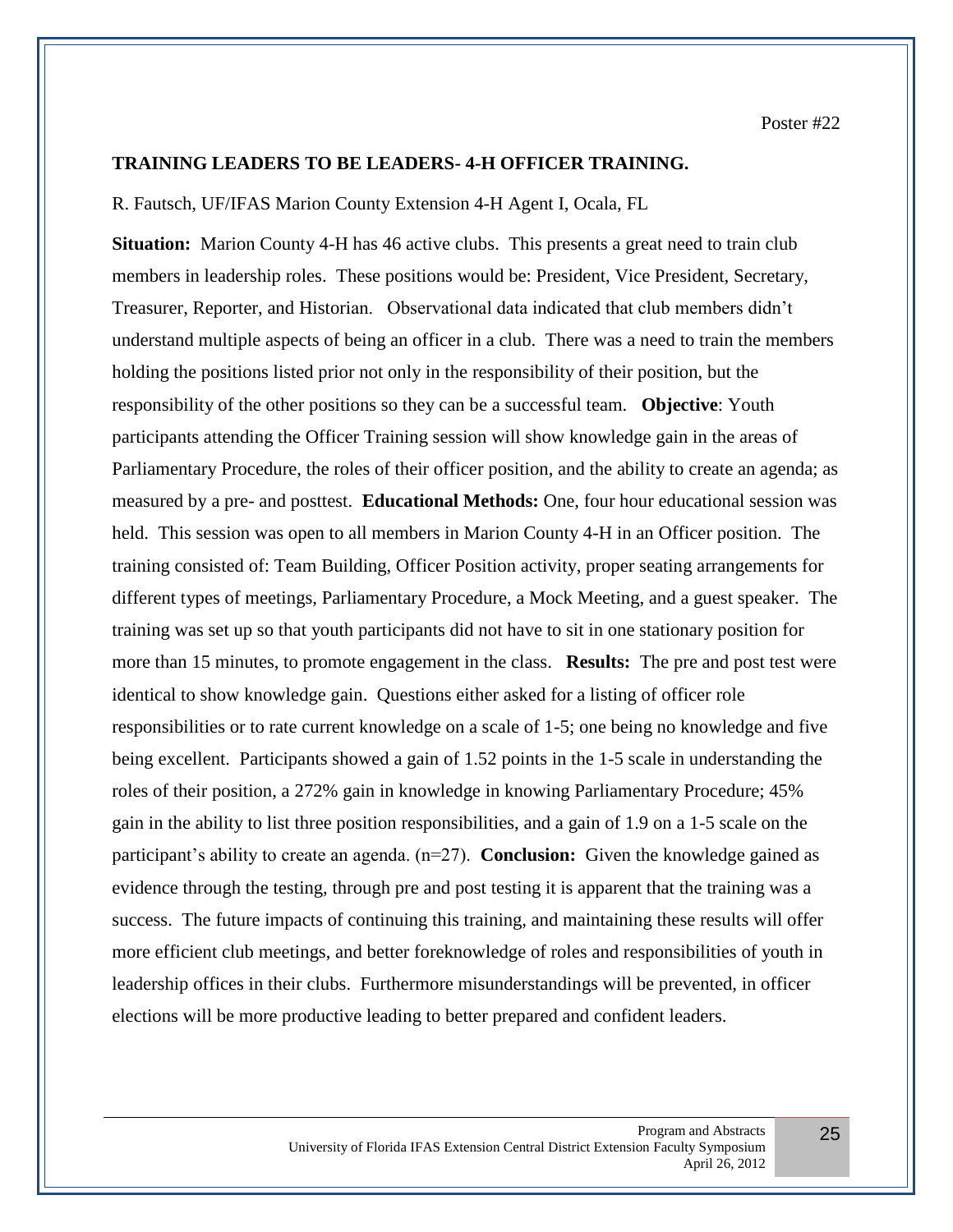#### **TRAINING LEADERS TO BE LEADERS- 4-H OFFICER TRAINING.**

#### R. Fautsch, UF/IFAS Marion County Extension 4-H Agent I, Ocala, FL

**Situation:** Marion County 4-H has 46 active clubs. This presents a great need to train club members in leadership roles. These positions would be: President, Vice President, Secretary, Treasurer, Reporter, and Historian. Observational data indicated that club members didn't understand multiple aspects of being an officer in a club. There was a need to train the members holding the positions listed prior not only in the responsibility of their position, but the responsibility of the other positions so they can be a successful team. **Objective**: Youth participants attending the Officer Training session will show knowledge gain in the areas of Parliamentary Procedure, the roles of their officer position, and the ability to create an agenda; as measured by a pre- and posttest. **Educational Methods:** One, four hour educational session was held. This session was open to all members in Marion County 4-H in an Officer position. The training consisted of: Team Building, Officer Position activity, proper seating arrangements for different types of meetings, Parliamentary Procedure, a Mock Meeting, and a guest speaker. The training was set up so that youth participants did not have to sit in one stationary position for more than 15 minutes, to promote engagement in the class. **Results:** The pre and post test were identical to show knowledge gain. Questions either asked for a listing of officer role responsibilities or to rate current knowledge on a scale of 1-5; one being no knowledge and five being excellent. Participants showed a gain of 1.52 points in the 1-5 scale in understanding the roles of their position, a 272% gain in knowledge in knowing Parliamentary Procedure; 45% gain in the ability to list three position responsibilities, and a gain of 1.9 on a 1-5 scale on the participant's ability to create an agenda. (n=27). **Conclusion:** Given the knowledge gained as evidence through the testing, through pre and post testing it is apparent that the training was a success. The future impacts of continuing this training, and maintaining these results will offer more efficient club meetings, and better foreknowledge of roles and responsibilities of youth in leadership offices in their clubs. Furthermore misunderstandings will be prevented, in officer elections will be more productive leading to better prepared and confident leaders.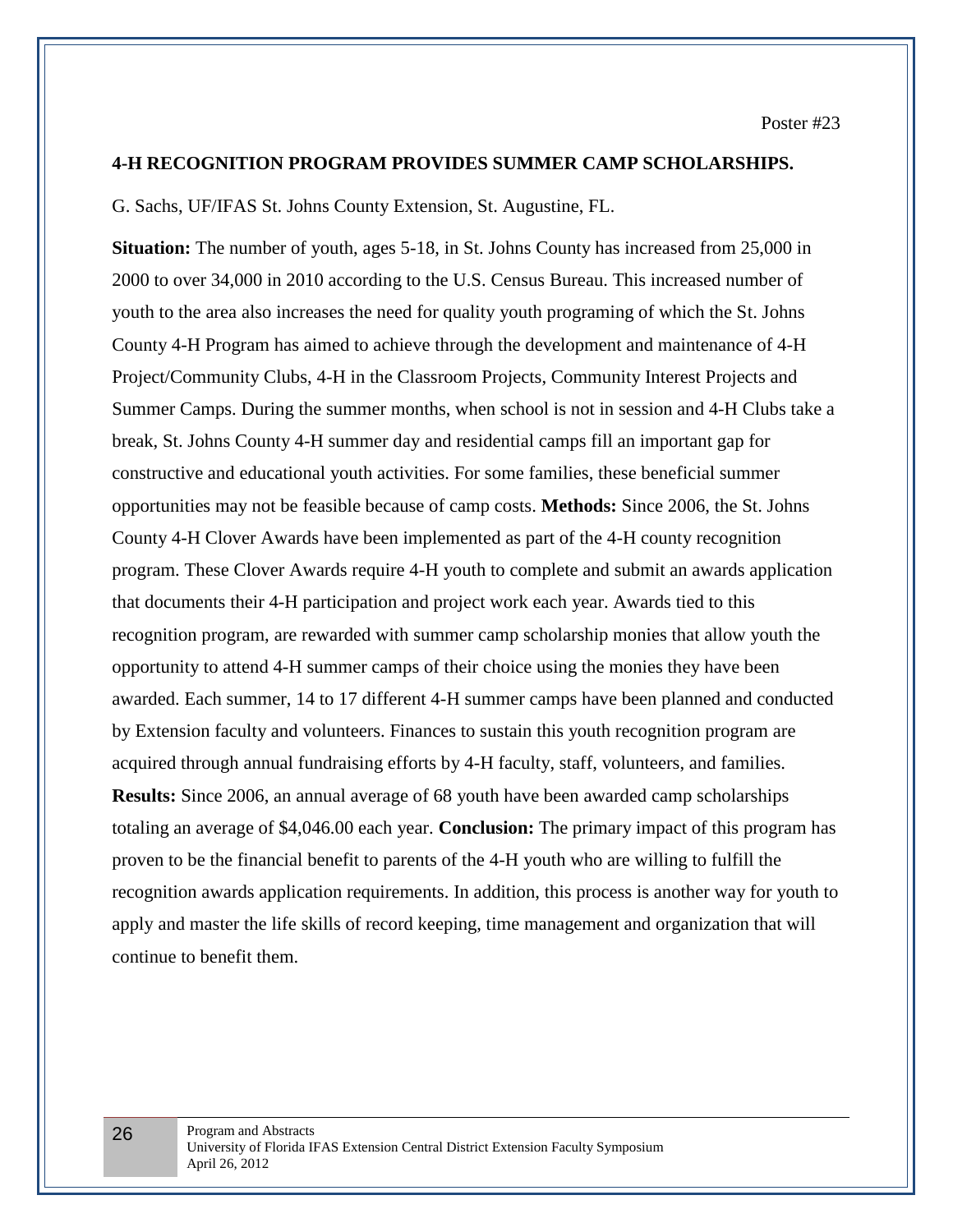#### **4-H RECOGNITION PROGRAM PROVIDES SUMMER CAMP SCHOLARSHIPS.**

G. Sachs, UF/IFAS St. Johns County Extension, St. Augustine, FL.

**Situation:** The number of youth, ages 5-18, in St. Johns County has increased from 25,000 in 2000 to over 34,000 in 2010 according to the U.S. Census Bureau. This increased number of youth to the area also increases the need for quality youth programing of which the St. Johns County 4-H Program has aimed to achieve through the development and maintenance of 4-H Project/Community Clubs, 4-H in the Classroom Projects, Community Interest Projects and Summer Camps. During the summer months, when school is not in session and 4-H Clubs take a break, St. Johns County 4-H summer day and residential camps fill an important gap for constructive and educational youth activities. For some families, these beneficial summer opportunities may not be feasible because of camp costs. **Methods:** Since 2006, the St. Johns County 4-H Clover Awards have been implemented as part of the 4-H county recognition program. These Clover Awards require 4-H youth to complete and submit an awards application that documents their 4-H participation and project work each year. Awards tied to this recognition program, are rewarded with summer camp scholarship monies that allow youth the opportunity to attend 4-H summer camps of their choice using the monies they have been awarded. Each summer, 14 to 17 different 4-H summer camps have been planned and conducted by Extension faculty and volunteers. Finances to sustain this youth recognition program are acquired through annual fundraising efforts by 4-H faculty, staff, volunteers, and families. **Results:** Since 2006, an annual average of 68 youth have been awarded camp scholarships totaling an average of \$4,046.00 each year. **Conclusion:** The primary impact of this program has proven to be the financial benefit to parents of the 4-H youth who are willing to fulfill the recognition awards application requirements. In addition, this process is another way for youth to apply and master the life skills of record keeping, time management and organization that will continue to benefit them.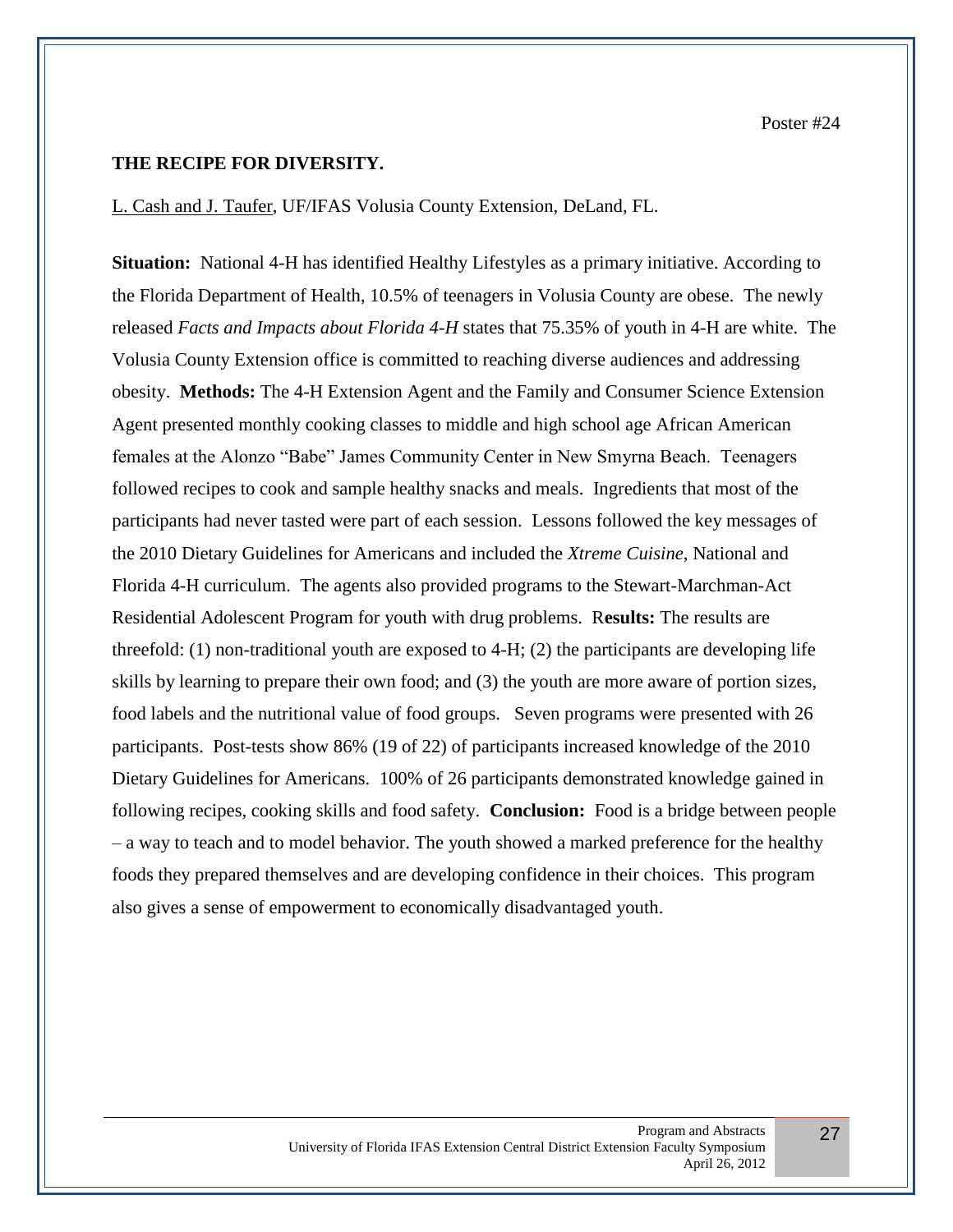#### **THE RECIPE FOR DIVERSITY.**

L. Cash and J. Taufer, UF/IFAS Volusia County Extension, DeLand, FL.

**Situation:** National 4-H has identified Healthy Lifestyles as a primary initiative. According to the Florida Department of Health, 10.5% of teenagers in Volusia County are obese. The newly released *Facts and Impacts about Florida 4-H* states that 75.35% of youth in 4-H are white. The Volusia County Extension office is committed to reaching diverse audiences and addressing obesity. **Methods:** The 4-H Extension Agent and the Family and Consumer Science Extension Agent presented monthly cooking classes to middle and high school age African American females at the Alonzo "Babe" James Community Center in New Smyrna Beach. Teenagers followed recipes to cook and sample healthy snacks and meals. Ingredients that most of the participants had never tasted were part of each session. Lessons followed the key messages of the 2010 Dietary Guidelines for Americans and included the *Xtreme Cuisine*, National and Florida 4-H curriculum. The agents also provided programs to the Stewart-Marchman-Act Residential Adolescent Program for youth with drug problems. R**esults:** The results are threefold: (1) non-traditional youth are exposed to 4-H; (2) the participants are developing life skills by learning to prepare their own food; and (3) the youth are more aware of portion sizes, food labels and the nutritional value of food groups. Seven programs were presented with 26 participants. Post-tests show 86% (19 of 22) of participants increased knowledge of the 2010 Dietary Guidelines for Americans. 100% of 26 participants demonstrated knowledge gained in following recipes, cooking skills and food safety. **Conclusion:** Food is a bridge between people – a way to teach and to model behavior. The youth showed a marked preference for the healthy foods they prepared themselves and are developing confidence in their choices. This program also gives a sense of empowerment to economically disadvantaged youth.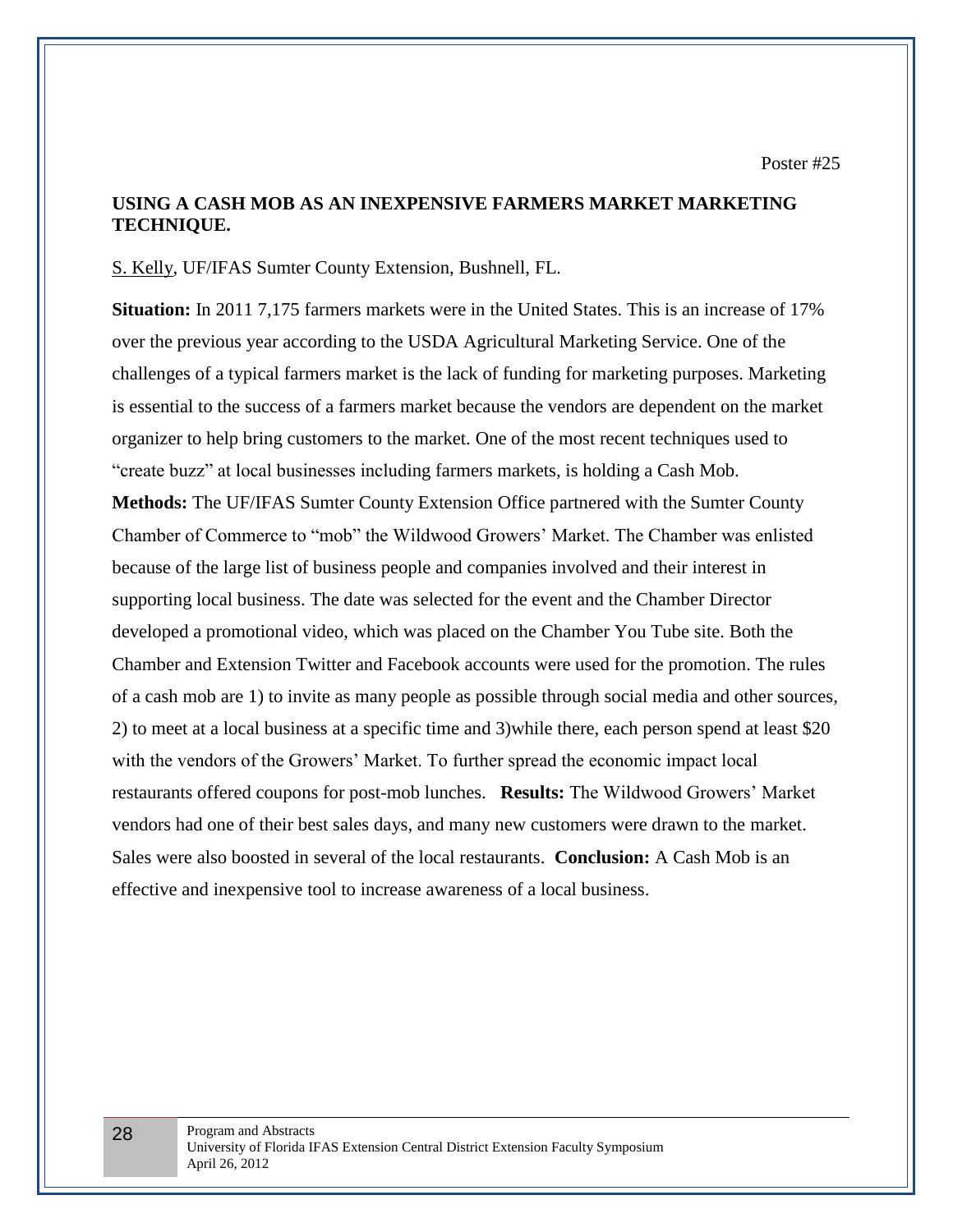Poster #25

## **USING A CASH MOB AS AN INEXPENSIVE FARMERS MARKET MARKETING TECHNIQUE.**

#### S. Kelly, UF/IFAS Sumter County Extension, Bushnell, FL.

**Situation:** In 2011 7,175 farmers markets were in the United States. This is an increase of 17% over the previous year according to the USDA Agricultural Marketing Service. One of the challenges of a typical farmers market is the lack of funding for marketing purposes. Marketing is essential to the success of a farmers market because the vendors are dependent on the market organizer to help bring customers to the market. One of the most recent techniques used to "create buzz" at local businesses including farmers markets, is holding a Cash Mob. **Methods:** The UF/IFAS Sumter County Extension Office partnered with the Sumter County Chamber of Commerce to "mob" the Wildwood Growers' Market. The Chamber was enlisted because of the large list of business people and companies involved and their interest in supporting local business. The date was selected for the event and the Chamber Director developed a promotional video, which was placed on the Chamber You Tube site. Both the Chamber and Extension Twitter and Facebook accounts were used for the promotion. The rules of a cash mob are 1) to invite as many people as possible through social media and other sources, 2) to meet at a local business at a specific time and 3)while there, each person spend at least \$20 with the vendors of the Growers' Market. To further spread the economic impact local restaurants offered coupons for post-mob lunches. **Results:** The Wildwood Growers' Market vendors had one of their best sales days, and many new customers were drawn to the market. Sales were also boosted in several of the local restaurants. **Conclusion:** A Cash Mob is an effective and inexpensive tool to increase awareness of a local business.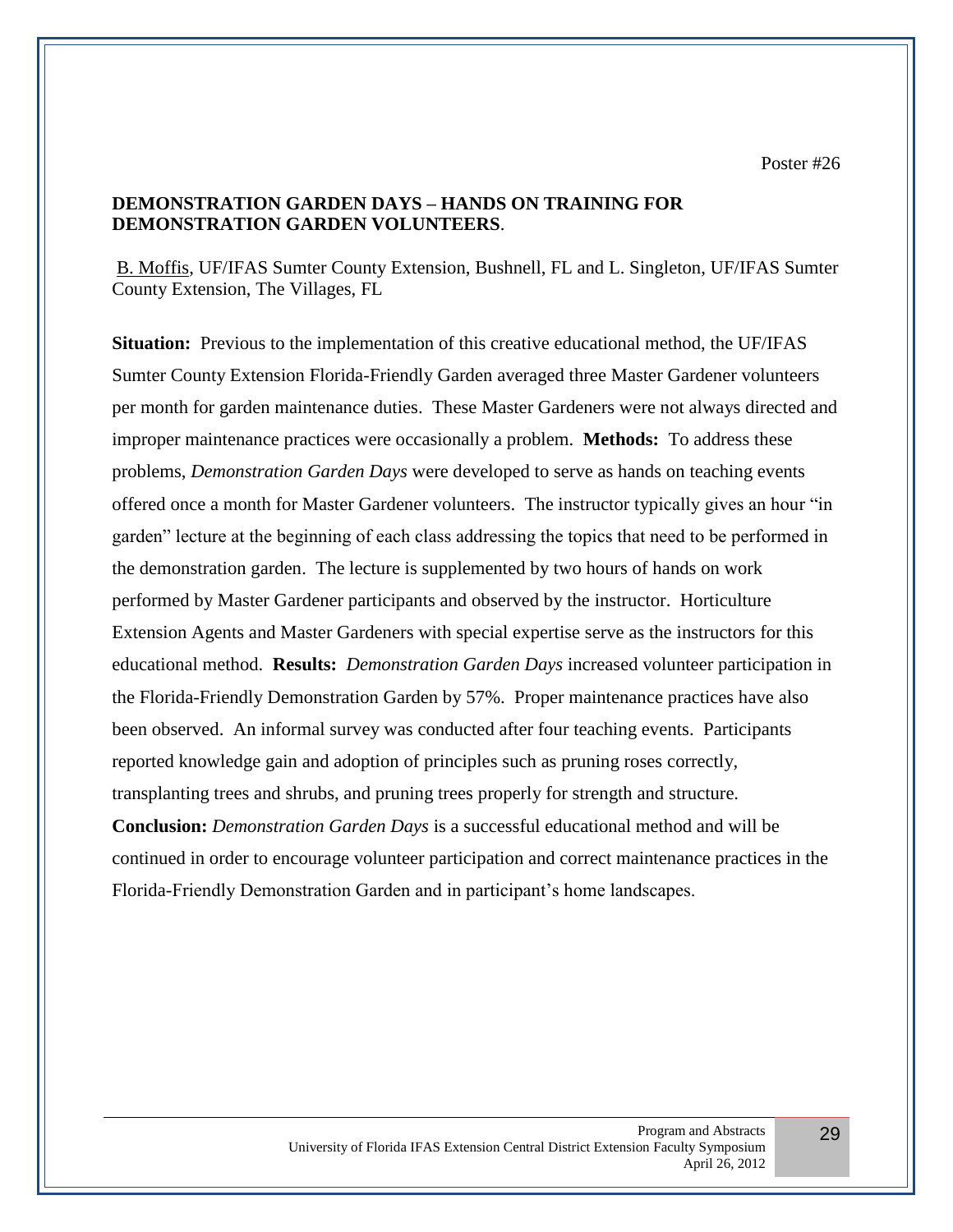Poster #26

# **DEMONSTRATION GARDEN DAYS – HANDS ON TRAINING FOR DEMONSTRATION GARDEN VOLUNTEERS**.

B. Moffis, UF/IFAS Sumter County Extension, Bushnell, FL and L. Singleton, UF/IFAS Sumter County Extension, The Villages, FL

**Situation:** Previous to the implementation of this creative educational method, the UF/IFAS Sumter County Extension Florida-Friendly Garden averaged three Master Gardener volunteers per month for garden maintenance duties. These Master Gardeners were not always directed and improper maintenance practices were occasionally a problem. **Methods:** To address these problems, *Demonstration Garden Days* were developed to serve as hands on teaching events offered once a month for Master Gardener volunteers. The instructor typically gives an hour "in garden" lecture at the beginning of each class addressing the topics that need to be performed in the demonstration garden. The lecture is supplemented by two hours of hands on work performed by Master Gardener participants and observed by the instructor. Horticulture Extension Agents and Master Gardeners with special expertise serve as the instructors for this educational method. **Results:** *Demonstration Garden Days* increased volunteer participation in the Florida-Friendly Demonstration Garden by 57%. Proper maintenance practices have also been observed. An informal survey was conducted after four teaching events. Participants reported knowledge gain and adoption of principles such as pruning roses correctly, transplanting trees and shrubs, and pruning trees properly for strength and structure. **Conclusion:** *Demonstration Garden Days* is a successful educational method and will be continued in order to encourage volunteer participation and correct maintenance practices in the Florida-Friendly Demonstration Garden and in participant's home landscapes.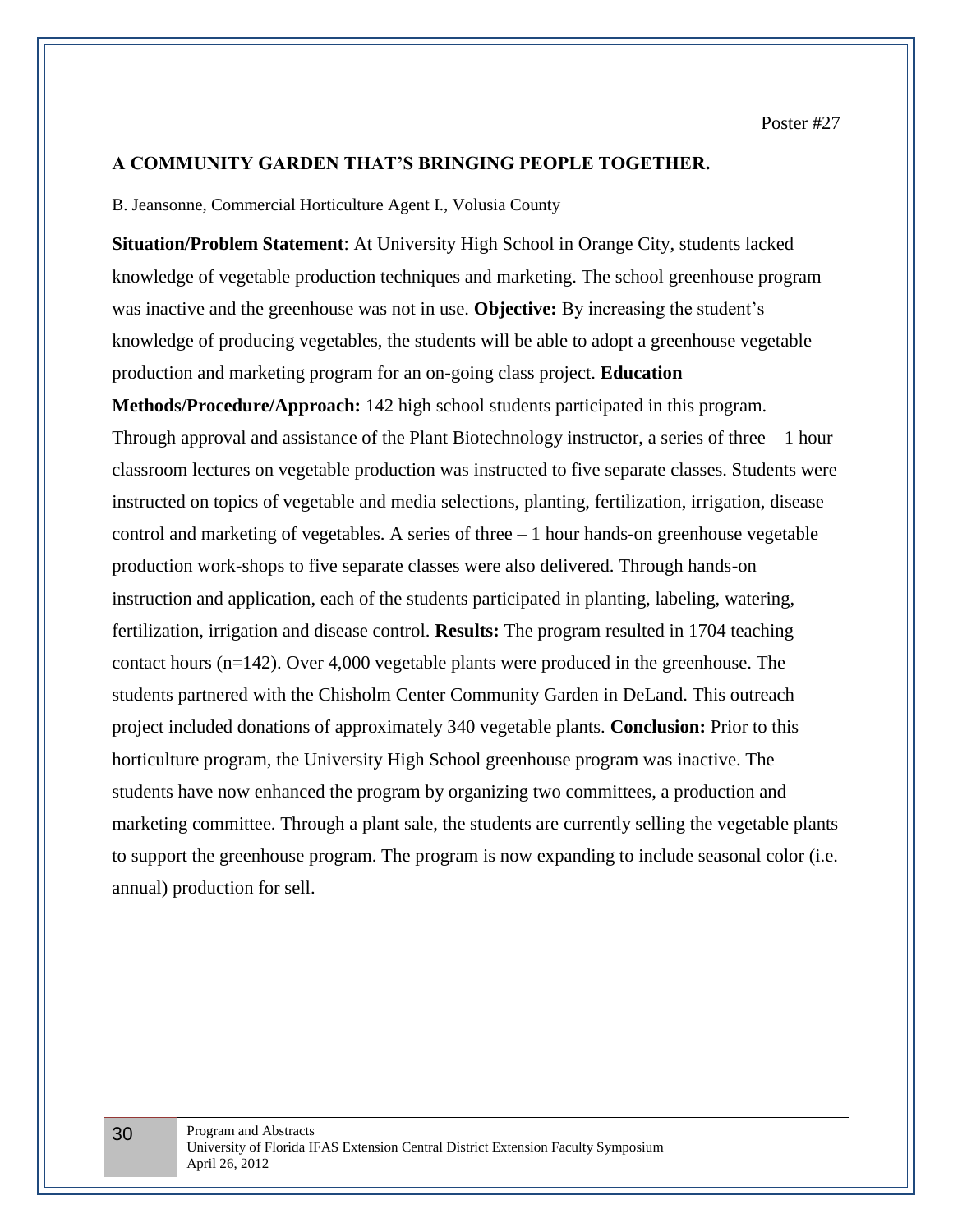#### **A COMMUNITY GARDEN THAT'S BRINGING PEOPLE TOGETHER.**

B. Jeansonne, Commercial Horticulture Agent I., Volusia County

**Situation/Problem Statement**: At University High School in Orange City, students lacked knowledge of vegetable production techniques and marketing. The school greenhouse program was inactive and the greenhouse was not in use. **Objective:** By increasing the student's knowledge of producing vegetables, the students will be able to adopt a greenhouse vegetable production and marketing program for an on-going class project. **Education** 

**Methods/Procedure/Approach:** 142 high school students participated in this program. Through approval and assistance of the Plant Biotechnology instructor, a series of three – 1 hour classroom lectures on vegetable production was instructed to five separate classes. Students were instructed on topics of vegetable and media selections, planting, fertilization, irrigation, disease control and marketing of vegetables. A series of three – 1 hour hands-on greenhouse vegetable production work-shops to five separate classes were also delivered. Through hands-on instruction and application, each of the students participated in planting, labeling, watering, fertilization, irrigation and disease control. **Results:** The program resulted in 1704 teaching contact hours (n=142). Over 4,000 vegetable plants were produced in the greenhouse. The students partnered with the Chisholm Center Community Garden in DeLand. This outreach project included donations of approximately 340 vegetable plants. **Conclusion:** Prior to this horticulture program, the University High School greenhouse program was inactive. The students have now enhanced the program by organizing two committees, a production and marketing committee. Through a plant sale, the students are currently selling the vegetable plants to support the greenhouse program. The program is now expanding to include seasonal color (i.e. annual) production for sell.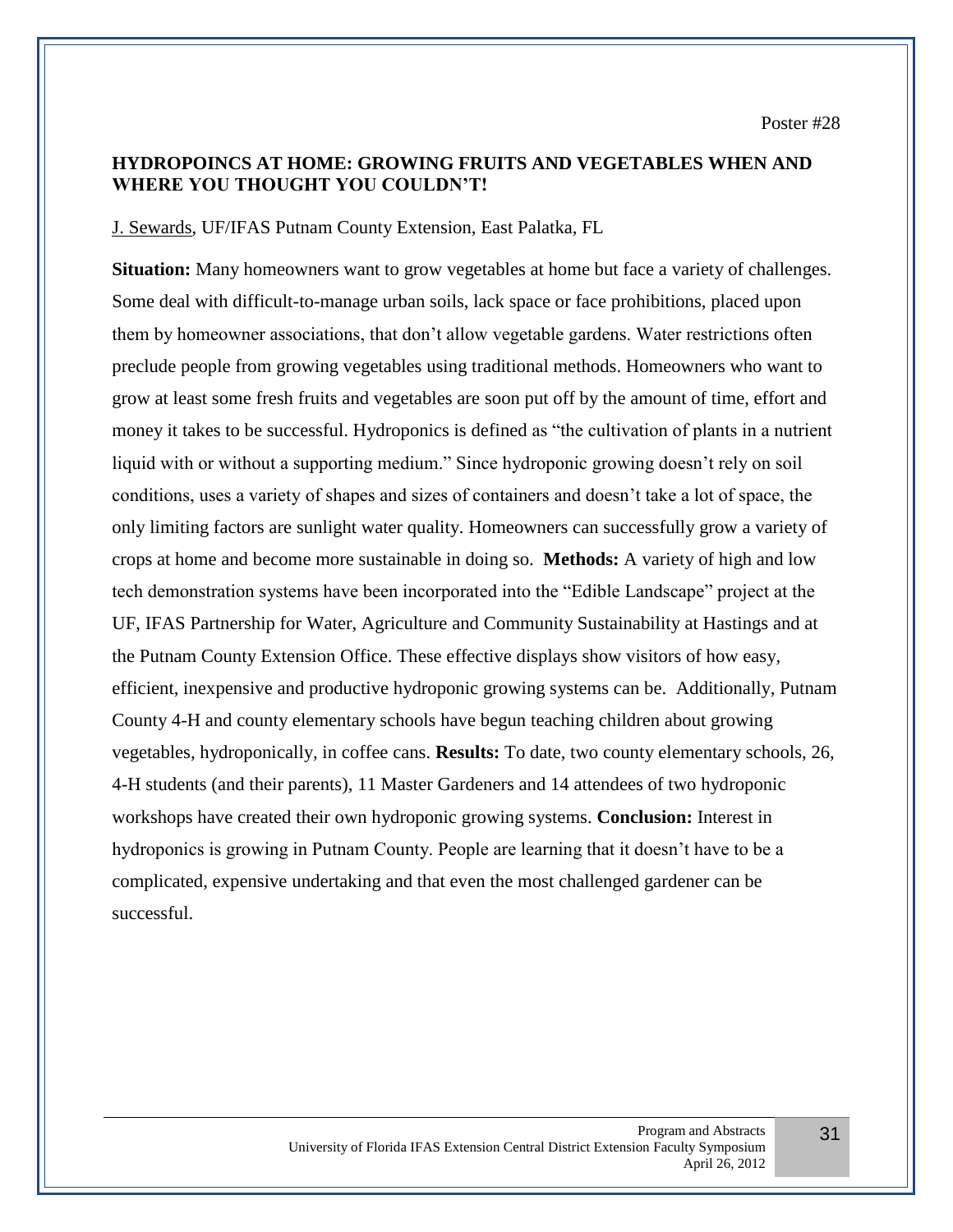# **HYDROPOINCS AT HOME: GROWING FRUITS AND VEGETABLES WHEN AND WHERE YOU THOUGHT YOU COULDN'T!**

J. Sewards, UF/IFAS Putnam County Extension, East Palatka, FL

**Situation:** Many homeowners want to grow vegetables at home but face a variety of challenges. Some deal with difficult-to-manage urban soils, lack space or face prohibitions, placed upon them by homeowner associations, that don't allow vegetable gardens. Water restrictions often preclude people from growing vegetables using traditional methods. Homeowners who want to grow at least some fresh fruits and vegetables are soon put off by the amount of time, effort and money it takes to be successful. Hydroponics is defined as "the cultivation of plants in a nutrient liquid with or without a supporting medium." Since hydroponic growing doesn't rely on soil conditions, uses a variety of shapes and sizes of containers and doesn't take a lot of space, the only limiting factors are sunlight water quality. Homeowners can successfully grow a variety of crops at home and become more sustainable in doing so. **Methods:** A variety of high and low tech demonstration systems have been incorporated into the "Edible Landscape" project at the UF, IFAS Partnership for Water, Agriculture and Community Sustainability at Hastings and at the Putnam County Extension Office. These effective displays show visitors of how easy, efficient, inexpensive and productive hydroponic growing systems can be. Additionally, Putnam County 4-H and county elementary schools have begun teaching children about growing vegetables, hydroponically, in coffee cans. **Results:** To date, two county elementary schools, 26, 4-H students (and their parents), 11 Master Gardeners and 14 attendees of two hydroponic workshops have created their own hydroponic growing systems. **Conclusion:** Interest in hydroponics is growing in Putnam County. People are learning that it doesn't have to be a complicated, expensive undertaking and that even the most challenged gardener can be successful.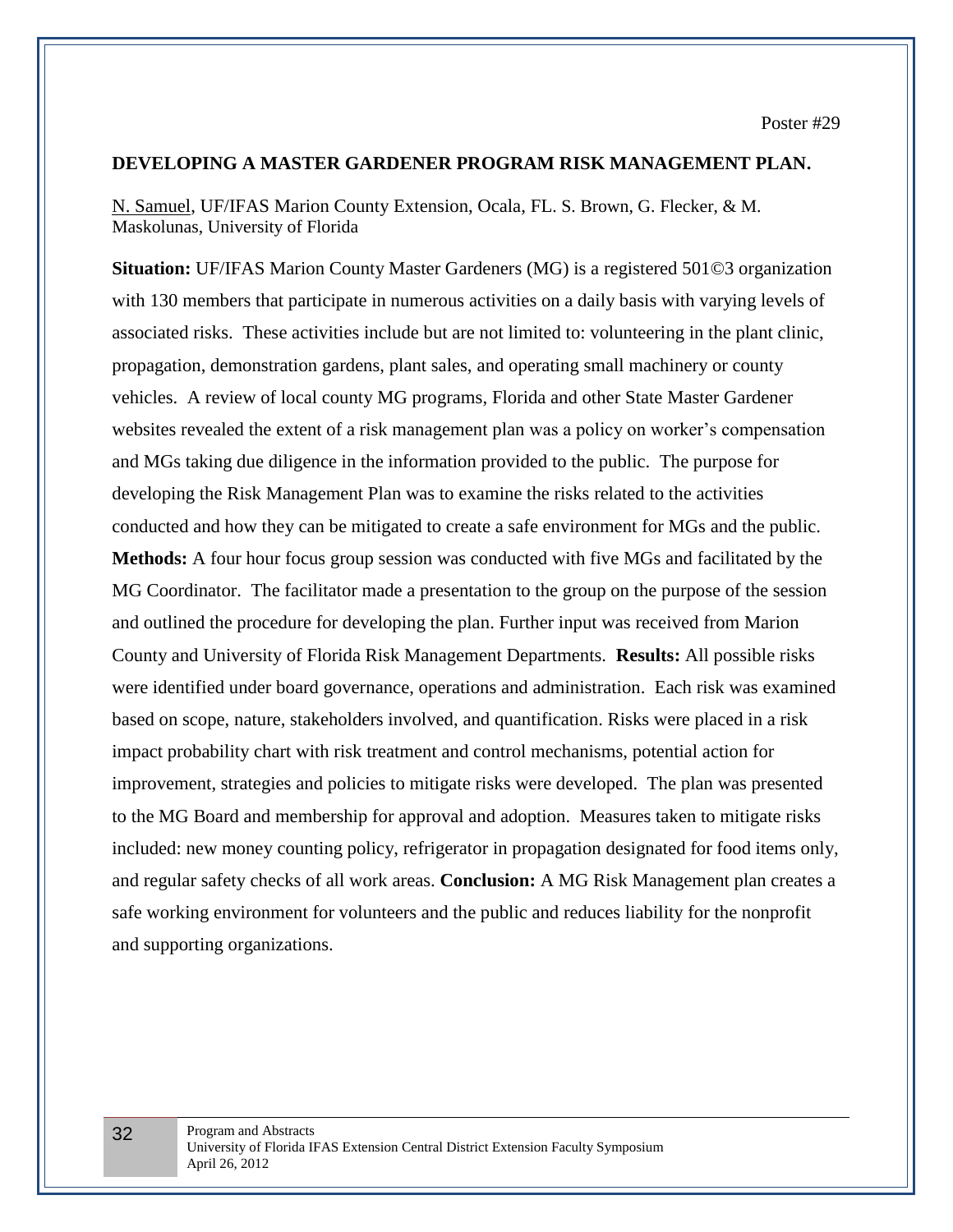#### **DEVELOPING A MASTER GARDENER PROGRAM RISK MANAGEMENT PLAN.**

N. Samuel, UF/IFAS Marion County Extension, Ocala, FL. S. Brown, G. Flecker, & M. Maskolunas, University of Florida

**Situation:** UF/IFAS Marion County Master Gardeners (MG) is a registered 501©3 organization with 130 members that participate in numerous activities on a daily basis with varying levels of associated risks. These activities include but are not limited to: volunteering in the plant clinic, propagation, demonstration gardens, plant sales, and operating small machinery or county vehicles. A review of local county MG programs, Florida and other State Master Gardener websites revealed the extent of a risk management plan was a policy on worker's compensation and MGs taking due diligence in the information provided to the public.The purpose for developing the Risk Management Plan was to examine the risks related to the activities conducted and how they can be mitigated to create a safe environment for MGs and the public. **Methods:** A four hour focus group session was conducted with five MGs and facilitated by the MG Coordinator. The facilitator made a presentation to the group on the purpose of the session and outlined the procedure for developing the plan. Further input was received from Marion County and University of Florida Risk Management Departments. **Results:** All possible risks were identified under board governance, operations and administration. Each risk was examined based on scope, nature, stakeholders involved, and quantification. Risks were placed in a risk impact probability chart with risk treatment and control mechanisms, potential action for improvement, strategies and policies to mitigate risks were developed. The plan was presented to the MG Board and membership for approval and adoption. Measures taken to mitigate risks included: new money counting policy, refrigerator in propagation designated for food items only, and regular safety checks of all work areas. **Conclusion:** A MG Risk Management plan creates a safe working environment for volunteers and the public and reduces liability for the nonprofit and supporting organizations.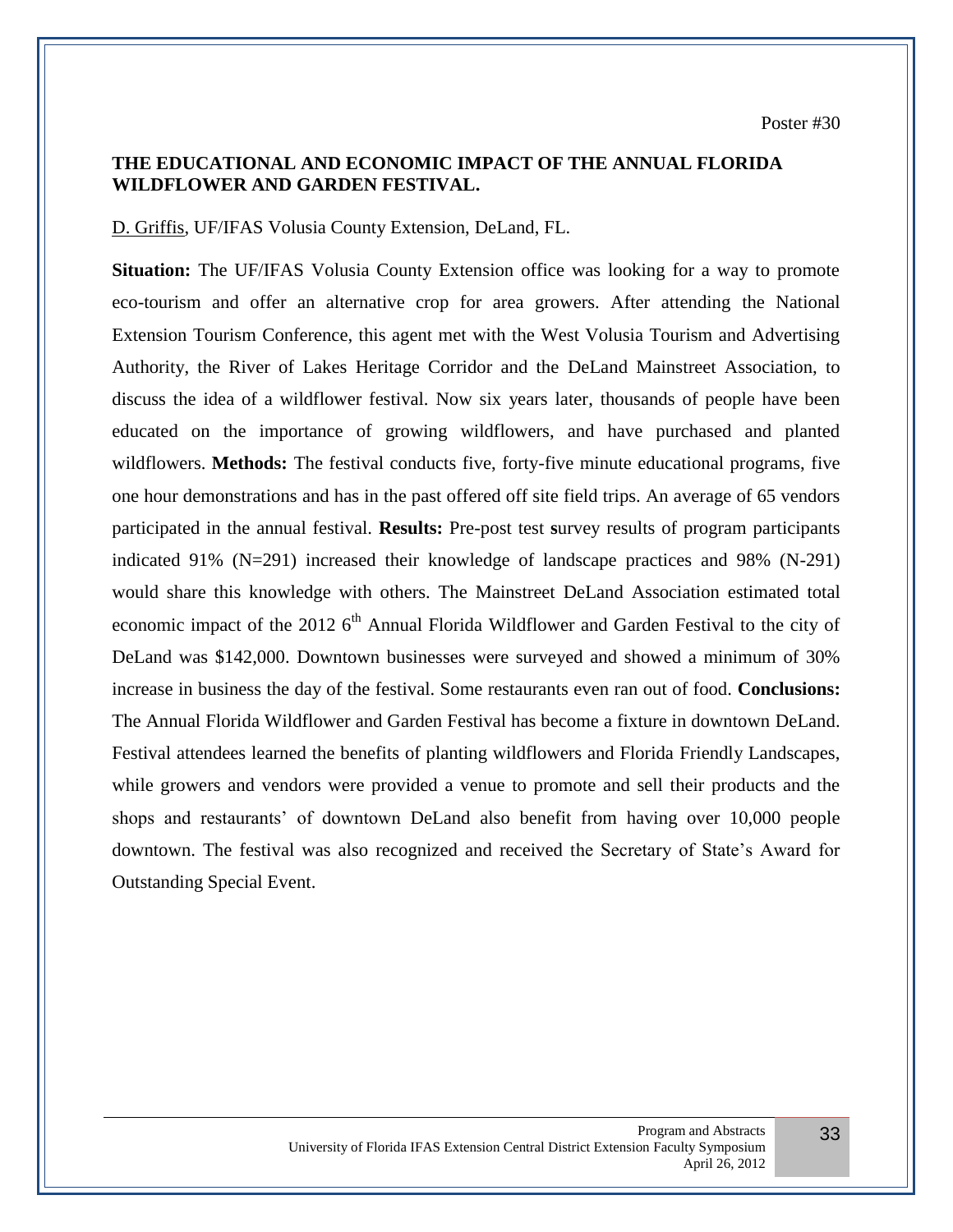# **THE EDUCATIONAL AND ECONOMIC IMPACT OF THE ANNUAL FLORIDA WILDFLOWER AND GARDEN FESTIVAL.**

D. Griffis, UF/IFAS Volusia County Extension, DeLand, FL.

**Situation:** The UF/IFAS Volusia County Extension office was looking for a way to promote eco-tourism and offer an alternative crop for area growers. After attending the National Extension Tourism Conference, this agent met with the West Volusia Tourism and Advertising Authority, the River of Lakes Heritage Corridor and the DeLand Mainstreet Association, to discuss the idea of a wildflower festival. Now six years later, thousands of people have been educated on the importance of growing wildflowers, and have purchased and planted wildflowers. **Methods:** The festival conducts five, forty-five minute educational programs, five one hour demonstrations and has in the past offered off site field trips. An average of 65 vendors participated in the annual festival. **Results:** Pre-post test **s**urvey results of program participants indicated 91% (N=291) increased their knowledge of landscape practices and 98% (N-291) would share this knowledge with others. The Mainstreet DeLand Association estimated total economic impact of the 2012 6<sup>th</sup> Annual Florida Wildflower and Garden Festival to the city of DeLand was \$142,000. Downtown businesses were surveyed and showed a minimum of 30% increase in business the day of the festival. Some restaurants even ran out of food. **Conclusions:**  The Annual Florida Wildflower and Garden Festival has become a fixture in downtown DeLand. Festival attendees learned the benefits of planting wildflowers and Florida Friendly Landscapes, while growers and vendors were provided a venue to promote and sell their products and the shops and restaurants' of downtown DeLand also benefit from having over 10,000 people downtown. The festival was also recognized and received the Secretary of State's Award for Outstanding Special Event.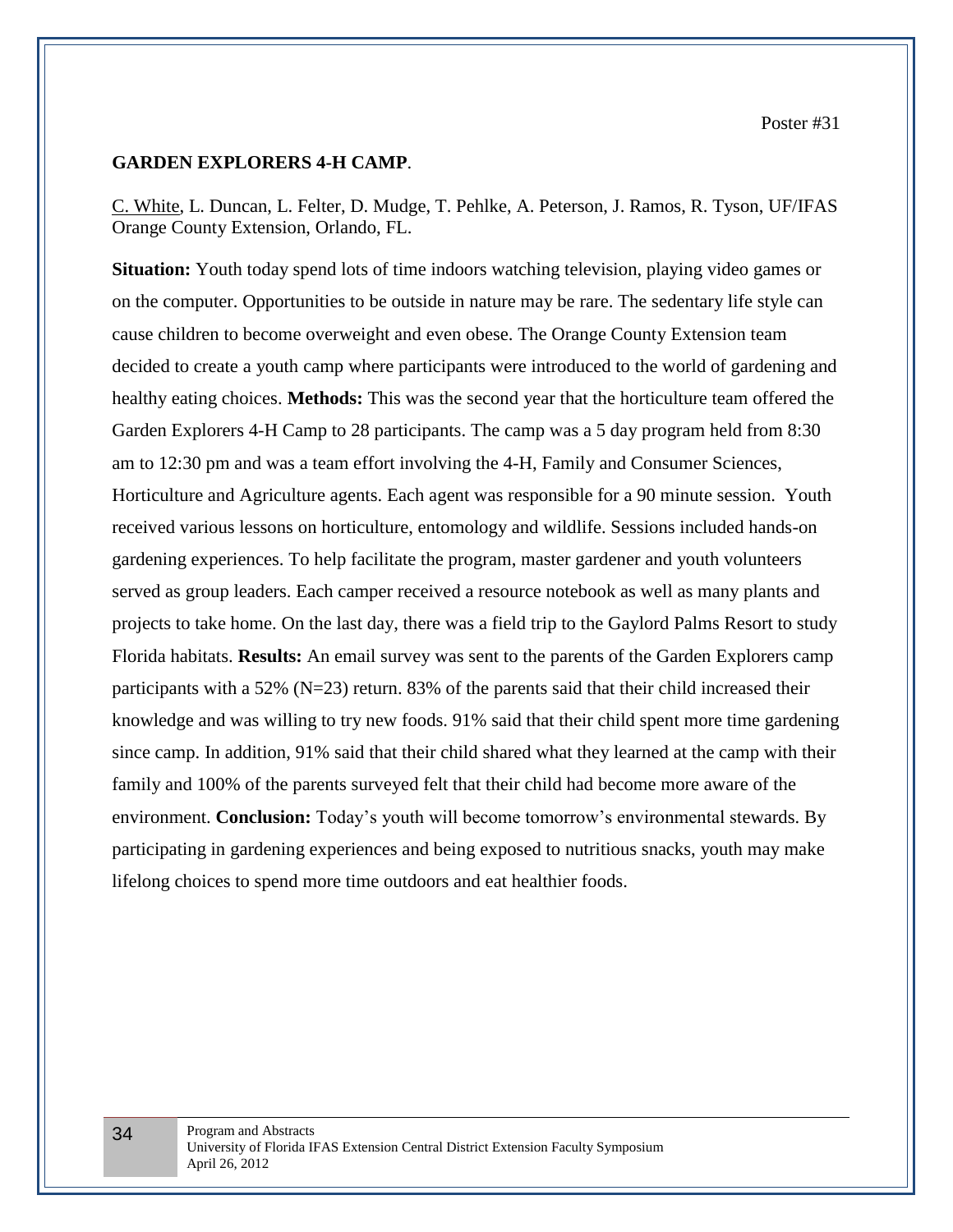Poster #31

#### **GARDEN EXPLORERS 4-H CAMP**.

C. White, L. Duncan, L. Felter, D. Mudge, T. Pehlke, A. Peterson, J. Ramos, R. Tyson, UF/IFAS Orange County Extension, Orlando, FL.

**Situation:** Youth today spend lots of time indoors watching television, playing video games or on the computer. Opportunities to be outside in nature may be rare. The sedentary life style can cause children to become overweight and even obese. The Orange County Extension team decided to create a youth camp where participants were introduced to the world of gardening and healthy eating choices. **Methods:** This was the second year that the horticulture team offered the Garden Explorers 4-H Camp to 28 participants. The camp was a 5 day program held from 8:30 am to 12:30 pm and was a team effort involving the 4-H, Family and Consumer Sciences, Horticulture and Agriculture agents. Each agent was responsible for a 90 minute session. Youth received various lessons on horticulture, entomology and wildlife. Sessions included hands-on gardening experiences. To help facilitate the program, master gardener and youth volunteers served as group leaders. Each camper received a resource notebook as well as many plants and projects to take home. On the last day, there was a field trip to the Gaylord Palms Resort to study Florida habitats. **Results:** An email survey was sent to the parents of the Garden Explorers camp participants with a 52% (N=23) return. 83% of the parents said that their child increased their knowledge and was willing to try new foods. 91% said that their child spent more time gardening since camp. In addition, 91% said that their child shared what they learned at the camp with their family and 100% of the parents surveyed felt that their child had become more aware of the environment. **Conclusion:** Today's youth will become tomorrow's environmental stewards. By participating in gardening experiences and being exposed to nutritious snacks, youth may make lifelong choices to spend more time outdoors and eat healthier foods.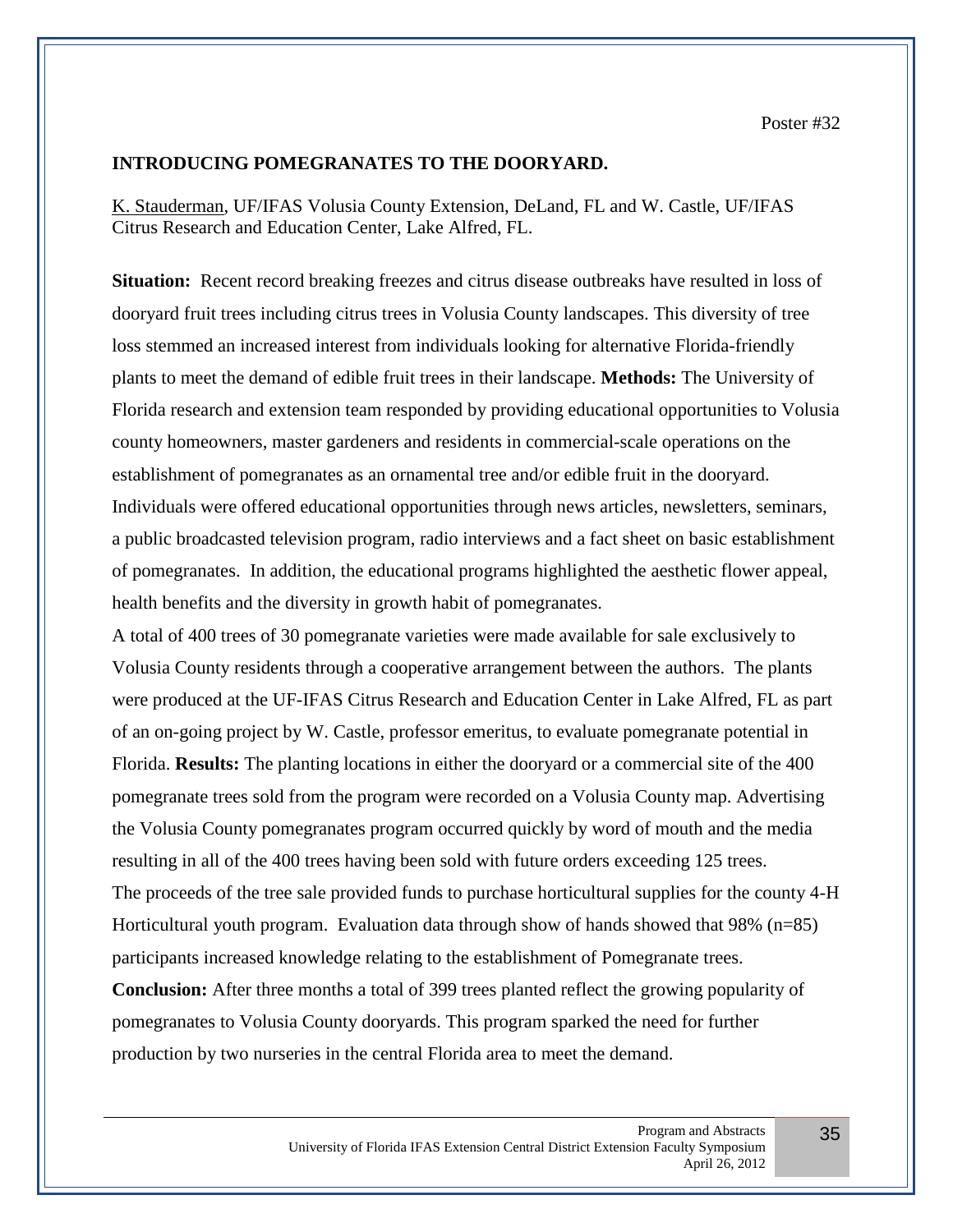## **INTRODUCING POMEGRANATES TO THE DOORYARD.**

K. Stauderman, UF/IFAS Volusia County Extension, DeLand, FL and W. Castle, UF/IFAS Citrus Research and Education Center, Lake Alfred, FL.

**Situation:** Recent record breaking freezes and citrus disease outbreaks have resulted in loss of dooryard fruit trees including citrus trees in Volusia County landscapes. This diversity of tree loss stemmed an increased interest from individuals looking for alternative Florida-friendly plants to meet the demand of edible fruit trees in their landscape. **Methods:** The University of Florida research and extension team responded by providing educational opportunities to Volusia county homeowners, master gardeners and residents in commercial-scale operations on the establishment of pomegranates as an ornamental tree and/or edible fruit in the dooryard. Individuals were offered educational opportunities through news articles, newsletters, seminars, a public broadcasted television program, radio interviews and a fact sheet on basic establishment of pomegranates. In addition, the educational programs highlighted the aesthetic flower appeal, health benefits and the diversity in growth habit of pomegranates.

A total of 400 trees of 30 pomegranate varieties were made available for sale exclusively to Volusia County residents through a cooperative arrangement between the authors. The plants were produced at the UF-IFAS Citrus Research and Education Center in Lake Alfred, FL as part of an on-going project by W. Castle, professor emeritus, to evaluate pomegranate potential in Florida. **Results:** The planting locations in either the dooryard or a commercial site of the 400 pomegranate trees sold from the program were recorded on a Volusia County map. Advertising the Volusia County pomegranates program occurred quickly by word of mouth and the media resulting in all of the 400 trees having been sold with future orders exceeding 125 trees. The proceeds of the tree sale provided funds to purchase horticultural supplies for the county 4-H Horticultural youth program. Evaluation data through show of hands showed that  $98\%$  (n=85) participants increased knowledge relating to the establishment of Pomegranate trees. **Conclusion:** After three months a total of 399 trees planted reflect the growing popularity of pomegranates to Volusia County dooryards. This program sparked the need for further production by two nurseries in the central Florida area to meet the demand.